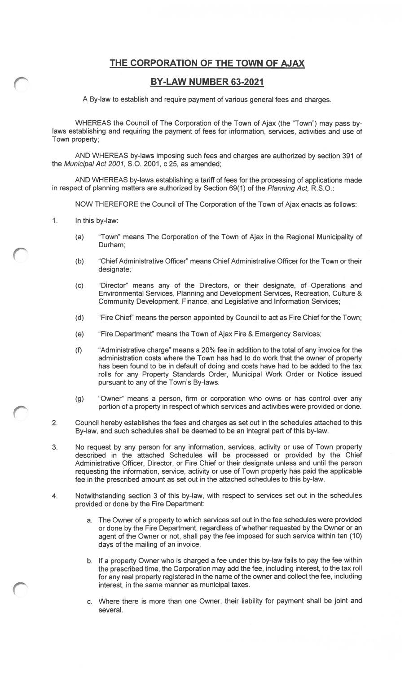#### THE CORPORATION OF THE TOWN OF AJAX

#### BY-LAW NUMBER 63-2021

A By-law to establish and require payment of various general fees and charges.

WHEREAS the Council of The Corporation of the Town of Ajax (the "Town") may pass by laws establishing and requiring the payment of fees for information, services, activities and use of Town property;

AND WHEREAS by-laws imposing such fees and charges are authorized by section 391 of the Municipal Act 2001, S.O. 2001, c 25, as amended;

AND WHEREAS by-laws establishing a tariff of fees for the processing of applications made in respect of planning matters are authorized by Section 69(1) of the Planning Act, R.S.O.:

NOW THEREFORE the Council of The Corporation of the Town of Ajax enacts as follows:

- $1<sub>1</sub>$ In this by-law:
	- (a) "Town" means The Corporation of the Town of Ajax in the Regional Municipality of Durham;
	- (b) "Chief Administrative Officer" means Chief Administrative Officer for the Town or their designate;
	- (c) "Director" means any of the Directors, or their designate, of Operations and Environmental Services, Planning and Development Services, Recreation, Culture & Community Development, Finance, and Legislative and Information Services;
	- (d) "Fire Chief" means the person appointed by Council to act as Fire Chief for the Town;
	- (e) "Fire Department" means the Town of Ajax Fire & Emergency Services;
	- (f) "Administrative charge" means a 20% fee in addition to the total of any invoice for the administration costs where the Town has had to do work that the owner of property has been found to be in default of doing and costs have had to be added to the tax rolls for any Property Standards Order, Municipal Work Order or Notice issued pursuant to any of the Town's By-laws.
	- (g) "Owner" means a person, firm or corporation who owns or has control over any portion of a property in respect of which services and activities were provided or done.
- 2. Council hereby establishes the fees and charges as set out in the schedules attached to this By-law, and such schedules shall be deemed to be an integral part of this by-law.
- <span id="page-0-0"></span>3. No request by any person for any information, services, activity or use of Town property described in the attached Schedules will be processed or provided by the Chief Administrative Officer, Director, or Fire Chief or their designate unless and until the person requesting the information, service, activity or use of Town property has paid the applicable fee in the prescribed amount as set out in the attached schedules to this by-law.
- 4. Notwithstanding section 3 of this by-law, with respect to services set out in the schedules provided or done by the [Fir](#page-0-0)e Department:
	- a. The Owner of a property to which services set out in the fee schedules were provided or done by the Fire Department, regardless of whether requested by the Owner or an agent of the Owner or not, shall pay the fee imposed for such service within ten (10) days of the mailing of an invoice.
	- b. If a property Owner who is charged a fee under this by-law fails to pay the fee within the prescribed time, the Corporation may add the fee, including interest, to the tax roll for any real property registered in the name of the owner and collect the fee, including interest, in the same manner as municipal taxes.
	- c. Where there is more than one Owner, their liability for payment shall be joint and several.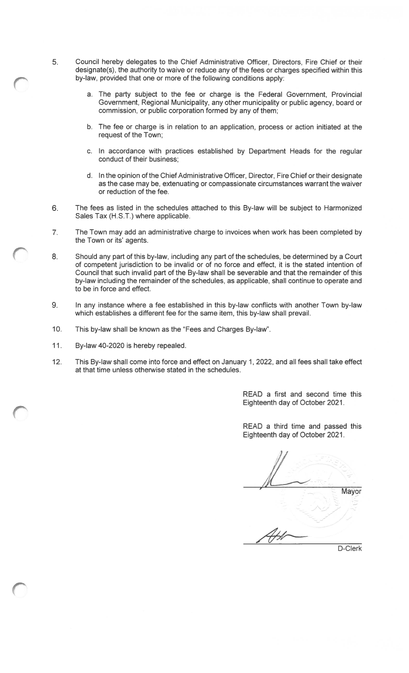- 5. Council hereby delegates to the Chief Administrative Officer, Directors, Fire Chief or their designate(s), the authority to waive or reduce any of the fees or charges specified within this by-law, provided that one or more of the following conditions apply:
	- a. The party subject to the fee or charge is the Federal Government, Provincial Government, Regional Municipality, any other municipality or public agency, board or commission, or public corporation formed by any of them;
	- b. The fee or charge is in relation to an application, process or action initiated at the request of the Town;
	- c. In accordance with practices established by Department Heads for the regular conduct of their business;
	- d. In the opinion of the Chief Administrative Officer, Director, Fire Chief or their designate as the case may be, extenuating or compassionate circumstances warrant the waiver or reduction of the fee.
- 6. The fees as listed in the schedules attached to this By-law will be subject to Harmonized Sales Tax (H.S.T.) where applicable.
- 7. The Town may add an administrative charge to invoices when work has been completed by the Town or its' agents.
- 8. Should any part of this by-law, including any part of the schedules, be determined by a Court of competent jurisdiction to be invalid or of no force and effect, it is the stated intention of Council that such invalid part of the By-law shall be severable and that the remainder of this by-law including the remainder of the schedules, as applicable, shall continue to operate and to be in force and effect.
- 9. In any instance where a fee established in this by-law conflicts with another Town by-law which establishes a different fee for the same item, this by-law shall prevail.
- 10. This by-law shall be known as the "Fees and Charges By-law"
- 11. By-law 40-2020 is hereby repealed.
- 12. This By-law shall come into force and effect on January 1, 2022, and all fees shall take effect at that time unless otherwise stated in the schedules.

READ a first and second time this Eighteenth day of October 2021.

READ a third time and passed this Eighteenth day of October 2021.

Mayor D-Clerk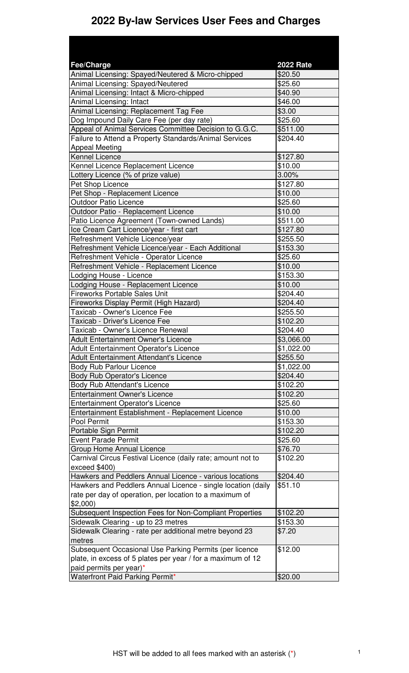# **2022 By-law Services User Fees and Charges**

| <b>Fee/Charge</b>                                                       | <b>2022 Rate</b>         |
|-------------------------------------------------------------------------|--------------------------|
| Animal Licensing: Spayed/Neutered & Micro-chipped                       | \$20.50                  |
| <b>Animal Licensing: Spayed/Neutered</b>                                | \$25.60                  |
| Animal Licensing: Intact & Micro-chipped                                | \$40.90                  |
| Animal Licensing: Intact                                                | \$46.00                  |
| Animal Licensing: Replacement Tag Fee                                   | \$3.00                   |
| Dog Impound Daily Care Fee (per day rate)                               | $\overline{$}25.60$      |
| Appeal of Animal Services Committee Decision to G.G.C.                  | \$511.00                 |
| Failure to Attend a Property Standards/Animal Services                  | \$204.40                 |
| <b>Appeal Meeting</b>                                                   |                          |
| Kennel Licence                                                          | \$127.80                 |
| Kennel Licence Replacement Licence                                      | \$10.00                  |
| Lottery Licence (% of prize value)                                      | 3.00%                    |
| Pet Shop Licence                                                        | \$127.80                 |
| Pet Shop - Replacement Licence                                          | \$10.00                  |
| <b>Outdoor Patio Licence</b>                                            | \$25.60                  |
| Outdoor Patio - Replacement Licence                                     | \$10.00                  |
| Patio Licence Agreement (Town-owned Lands)                              | \$511.00                 |
| Ice Cream Cart Licence/year - first cart                                | \$127.80                 |
| Refreshment Vehicle Licence/year                                        | \$255.50                 |
| Refreshment Vehicle Licence/year - Each Additional                      | \$153.30                 |
| Refreshment Vehicle - Operator Licence                                  | \$25.60                  |
| Refreshment Vehicle - Replacement Licence                               | \$10.00                  |
| Lodging House - Licence                                                 | \$153.30                 |
| Lodging House - Replacement Licence                                     | \$10.00                  |
| <b>Fireworks Portable Sales Unit</b>                                    | \$204.40                 |
|                                                                         |                          |
| Fireworks Display Permit (High Hazard)<br>Taxicab - Owner's Licence Fee | \$204.40<br>\$255.50     |
|                                                                         | \$102.20                 |
| Taxicab - Driver's Licence Fee<br>Taxicab - Owner's Licence Renewal     | \$204.40                 |
|                                                                         |                          |
| <b>Adult Entertainment Owner's Licence</b>                              | \$3,066.00<br>\$1,022.00 |
| <b>Adult Entertainment Operator's Licence</b>                           |                          |
| Adult Entertainment Attendant's Licence                                 | \$255.50                 |
| <b>Body Rub Parlour Licence</b>                                         | \$1,022.00               |
| <b>Body Rub Operator's Licence</b>                                      | \$204.40                 |
| <b>Body Rub Attendant's Licence</b>                                     | \$102.20                 |
| <b>Entertainment Owner's Licence</b>                                    | \$102.20                 |
| <b>Entertainment Operator's Licence</b>                                 | \$25.60                  |
| Entertainment Establishment - Replacement Licence                       | \$10.00                  |
| Pool Permit                                                             | \$153.30                 |
| Portable Sign Permit                                                    | \$102.20                 |
| <b>Event Parade Permit</b>                                              | \$25.60                  |
| <b>Group Home Annual Licence</b>                                        | \$76.70                  |
| Carnival Circus Festival Licence (daily rate; amount not to             | \$102.20                 |
| exceed \$400)                                                           |                          |
| Hawkers and Peddlers Annual Licence - various locations                 | \$204.40                 |
| Hawkers and Peddlers Annual Licence - single location (daily            | \$51.10                  |
| rate per day of operation, per location to a maximum of                 |                          |
| \$2,000                                                                 |                          |
| Subsequent Inspection Fees for Non-Compliant Properties                 | \$102.20                 |
| Sidewalk Clearing - up to 23 metres                                     | \$153.30                 |
| Sidewalk Clearing - rate per additional metre beyond 23                 | \$7.20                   |
| metres                                                                  |                          |
| Subsequent Occasional Use Parking Permits (per licence                  | \$12.00                  |
| plate, in excess of 5 plates per year / for a maximum of 12             |                          |
| paid permits per year)*                                                 |                          |
| <b>Waterfront Paid Parking Permit*</b>                                  | \$20.00                  |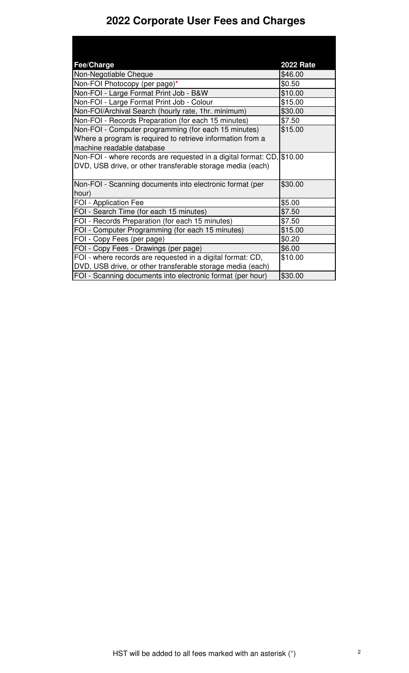# **2022 Corporate User Fees and Charges**

| Fee/Charge                                                             | <b>2022 Rate</b> |
|------------------------------------------------------------------------|------------------|
| Non-Negotiable Cheque                                                  | \$46.00          |
| Non-FOI Photocopy (per page)*                                          | \$0.50           |
| Non-FOI - Large Format Print Job - B&W                                 | \$10.00          |
| Non-FOI - Large Format Print Job - Colour                              | \$15.00          |
| Non-FOI/Archival Search (hourly rate, 1hr. minimum)                    | \$30.00          |
| Non-FOI - Records Preparation (for each 15 minutes)                    | \$7.50           |
| Non-FOI - Computer programming (for each 15 minutes)                   | \$15.00          |
| Where a program is required to retrieve information from a             |                  |
| machine readable database                                              |                  |
| Non-FOI - where records are requested in a digital format: CD, \$10.00 |                  |
| DVD, USB drive, or other transferable storage media (each)             |                  |
| Non-FOI - Scanning documents into electronic format (per               | \$30.00          |
| hour)                                                                  |                  |
| FOI - Application Fee                                                  | \$5.00           |
| FOI - Search Time (for each 15 minutes)                                | \$7.50           |
| FOI - Records Preparation (for each 15 minutes)                        | \$7.50           |
| FOI - Computer Programming (for each 15 minutes)                       | \$15.00          |
| FOI - Copy Fees (per page)                                             | \$0.20           |
| FOI - Copy Fees - Drawings (per page)                                  | \$6.00           |
| FOI - where records are requested in a digital format: CD,             | \$10.00          |
| DVD, USB drive, or other transferable storage media (each)             |                  |
| FOI - Scanning documents into electronic format (per hour)             | \$30.00          |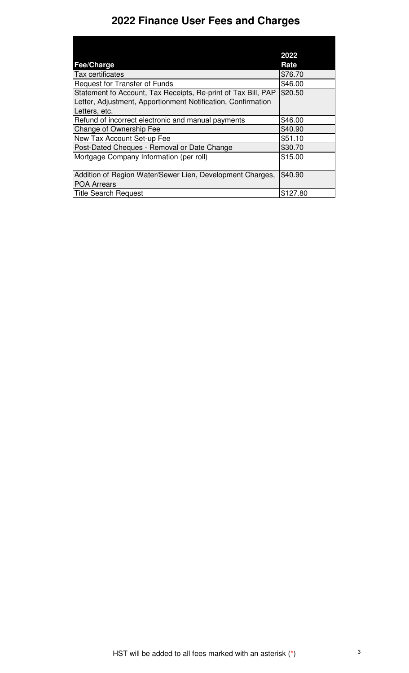# **2022 Finance User Fees and Charges**

|                                                                                 | 2022     |
|---------------------------------------------------------------------------------|----------|
| <b>Fee/Charge</b>                                                               | Rate     |
| Tax certificates                                                                | \$76.70  |
| <b>Request for Transfer of Funds</b>                                            | \$46.00  |
| Statement fo Account, Tax Receipts, Re-print of Tax Bill, PAP                   | \$20.50  |
| Letter, Adjustment, Apportionment Notification, Confirmation                    |          |
| Letters, etc.                                                                   |          |
| Refund of incorrect electronic and manual payments                              | \$46.00  |
| Change of Ownership Fee                                                         | \$40.90  |
| New Tax Account Set-up Fee                                                      | \$51.10  |
| Post-Dated Cheques - Removal or Date Change                                     | \$30.70  |
| Mortgage Company Information (per roll)                                         | \$15.00  |
| Addition of Region Water/Sewer Lien, Development Charges,<br><b>POA Arrears</b> | \$40.90  |
| <b>Title Search Request</b>                                                     | \$127.80 |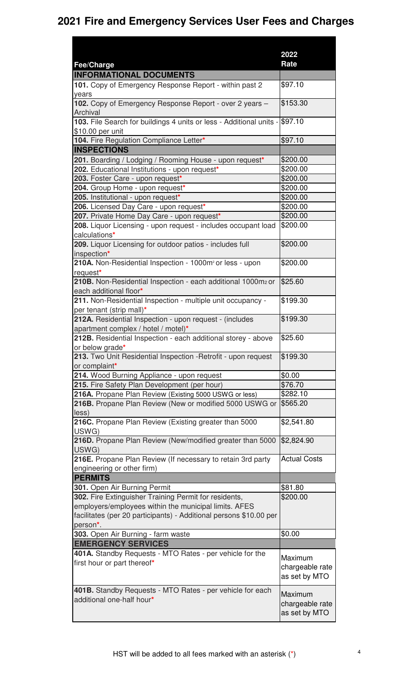|                                                                                  | 2022                             |
|----------------------------------------------------------------------------------|----------------------------------|
| Fee/Charge                                                                       | Rate                             |
| <b>INFORMATIONAL DOCUMENTS</b>                                                   |                                  |
| 101. Copy of Emergency Response Report - within past 2                           | \$97.10                          |
| years                                                                            | \$153.30                         |
| 102. Copy of Emergency Response Report - over 2 years -<br>Archival              |                                  |
| 103. File Search for buildings 4 units or less - Additional units -              | \$97.10                          |
| \$10.00 per unit                                                                 |                                  |
| 104. Fire Regulation Compliance Letter*                                          | \$97.10                          |
| <b>INSPECTIONS</b>                                                               |                                  |
| 201. Boarding / Lodging / Rooming House - upon request*                          | \$200.00                         |
| 202. Educational Institutions - upon request*                                    | \$200.00                         |
| 203. Foster Care - upon request*                                                 | \$200.00                         |
| 204. Group Home - upon request*                                                  | \$200.00                         |
| 205. Institutional - upon request*                                               | \$200.00                         |
| 206. Licensed Day Care - upon request*                                           | \$200.00                         |
| 207. Private Home Day Care - upon request*                                       | \$200.00                         |
| 208. Liquor Licensing - upon request - includes occupant load                    | \$200.00                         |
| calculations*                                                                    |                                  |
| 209. Liquor Licensing for outdoor patios - includes full                         | \$200.00                         |
| inspection*                                                                      |                                  |
| 210A. Non-Residential Inspection - 1000m <sup>2</sup> or less - upon             | \$200.00                         |
| request*                                                                         |                                  |
| 210B. Non-Residential Inspection - each additional 1000m2 or                     | \$25.60                          |
| each additional floor*                                                           |                                  |
| 211. Non-Residential Inspection - multiple unit occupancy -                      | \$199.30                         |
| per tenant (strip mall)*                                                         |                                  |
| 212A. Residential Inspection - upon request - (includes                          | \$199.30                         |
| apartment complex / hotel / motel)*                                              |                                  |
| 212B. Residential Inspection - each additional storey - above<br>or below grade* | \$25.60                          |
| 213. Two Unit Residential Inspection - Retrofit - upon request                   | \$199.30                         |
| or complaint*                                                                    |                                  |
| 214. Wood Burning Appliance - upon request                                       | \$0.00                           |
| 215. Fire Safety Plan Development (per hour)                                     | \$76.70                          |
| 216A. Propane Plan Review (Existing 5000 USWG or less)                           | \$282.10                         |
| 216B. Propane Plan Review (New or modified 5000 USWG or                          | \$565.20                         |
| less)                                                                            |                                  |
| 216C. Propane Plan Review (Existing greater than 5000                            | \$2,541.80                       |
| USWG)                                                                            |                                  |
| 216D. Propane Plan Review (New/modified greater than 5000                        | \$2,824.90                       |
| USWG)                                                                            |                                  |
| 216E. Propane Plan Review (If necessary to retain 3rd party                      | <b>Actual Costs</b>              |
| engineering or other firm)                                                       |                                  |
| <b>PERMITS</b>                                                                   |                                  |
| 301. Open Air Burning Permit                                                     | \$81.80                          |
| 302. Fire Extinguisher Training Permit for residents,                            | \$200.00                         |
| employers/employees within the municipal limits. AFES                            |                                  |
| facilitates (per 20 participants) - Additional persons \$10.00 per               |                                  |
| person <sup>*</sup> .                                                            |                                  |
| 303. Open Air Burning - farm waste                                               | \$0.00                           |
| <b>EMERGENCY SERVICES</b>                                                        |                                  |
| 401A. Standby Requests - MTO Rates - per vehicle for the                         |                                  |
| first hour or part thereof*                                                      | Maximum                          |
|                                                                                  | chargeable rate                  |
|                                                                                  | as set by MTO                    |
| 401B. Standby Requests - MTO Rates - per vehicle for each                        |                                  |
| additional one-half hour*                                                        | Maximum                          |
|                                                                                  | chargeable rate<br>as set by MTO |
|                                                                                  |                                  |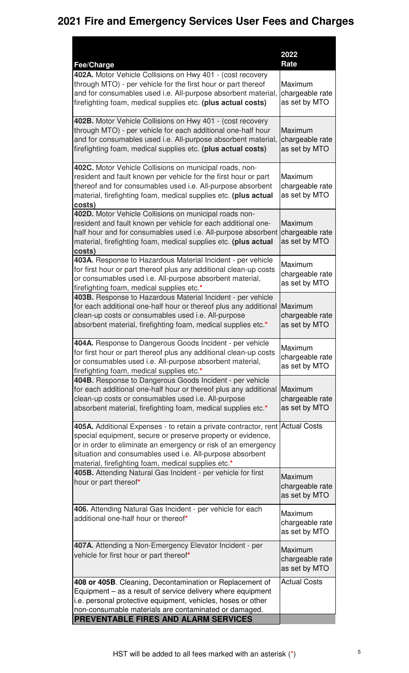| Fee/Charge                                                                                                                                                                                                                                                                                                           | 2022<br>Rate                                |
|----------------------------------------------------------------------------------------------------------------------------------------------------------------------------------------------------------------------------------------------------------------------------------------------------------------------|---------------------------------------------|
| 402A. Motor Vehicle Collisions on Hwy 401 - (cost recovery<br>through MTO) - per vehicle for the first hour or part thereof<br>and for consumables used i.e. All-purpose absorbent material,<br>firefighting foam, medical supplies etc. (plus actual costs)                                                         | Maximum<br>chargeable rate<br>as set by MTO |
| 402B. Motor Vehicle Collisions on Hwy 401 - (cost recovery<br>through MTO) - per vehicle for each additional one-half hour<br>and for consumables used i.e. All-purpose absorbent material,<br>firefighting foam, medical supplies etc. (plus actual costs)                                                          | Maximum<br>chargeable rate<br>as set by MTO |
| 402C. Motor Vehicle Collisions on municipal roads, non-<br>resident and fault known per vehicle for the first hour or part<br>thereof and for consumables used i.e. All-purpose absorbent<br>material, firefighting foam, medical supplies etc. (plus actual<br>costs)                                               | Maximum<br>chargeable rate<br>as set by MTO |
| 402D. Motor Vehicle Collisions on municipal roads non-<br>resident and fault known per vehicle for each additional one-<br>half hour and for consumables used i.e. All-purpose absorbent<br>material, firefighting foam, medical supplies etc. (plus actual<br>costs)                                                | Maximum<br>chargeable rate<br>as set by MTO |
| 403A. Response to Hazardous Material Incident - per vehicle<br>for first hour or part thereof plus any additional clean-up costs<br>or consumables used i.e. All-purpose absorbent material,<br>firefighting foam, medical supplies etc.*                                                                            | Maximum<br>chargeable rate<br>as set by MTO |
| 403B. Response to Hazardous Material Incident - per vehicle<br>for each additional one-half hour or thereof plus any additional<br>clean-up costs or consumables used i.e. All-purpose<br>absorbent material, firefighting foam, medical supplies etc.*                                                              | Maximum<br>chargeable rate<br>as set by MTO |
| 404A. Response to Dangerous Goods Incident - per vehicle<br>for first hour or part thereof plus any additional clean-up costs<br>or consumables used i.e. All-purpose absorbent material,<br>firefighting foam, medical supplies etc.*                                                                               | Maximum<br>chargeable rate<br>as set by MTO |
| 404B. Response to Dangerous Goods Incident - per vehicle<br>for each additional one-half hour or thereof plus any additional<br>clean-up costs or consumables used i.e. All-purpose<br>absorbent material, firefighting foam, medical supplies etc.*                                                                 | Maximum<br>chargeable rate<br>as set by MTO |
| 405A. Additional Expenses - to retain a private contractor, rent<br>special equipment, secure or preserve property or evidence,<br>or in order to eliminate an emergency or risk of an emergency<br>situation and consumables used i.e. All-purpose absorbent<br>material, firefighting foam, medical supplies etc.* | <b>Actual Costs</b>                         |
| 405B. Attending Natural Gas Incident - per vehicle for first<br>hour or part thereof*                                                                                                                                                                                                                                | Maximum<br>chargeable rate<br>as set by MTO |
| 406. Attending Natural Gas Incident - per vehicle for each<br>additional one-half hour or thereof*                                                                                                                                                                                                                   | Maximum<br>chargeable rate<br>as set by MTO |
| 407A. Attending a Non-Emergency Elevator Incident - per<br>vehicle for first hour or part thereof*                                                                                                                                                                                                                   | Maximum<br>chargeable rate<br>as set by MTO |
| 408 or 405B. Cleaning, Decontamination or Replacement of<br>Equipment – as a result of service delivery where equipment<br>i.e. personal protective equipment, vehicles, hoses or other<br>non-consumable materials are contaminated or damaged.                                                                     | <b>Actual Costs</b>                         |
| PREVENTABLE FIRES AND ALARM SERVICES                                                                                                                                                                                                                                                                                 |                                             |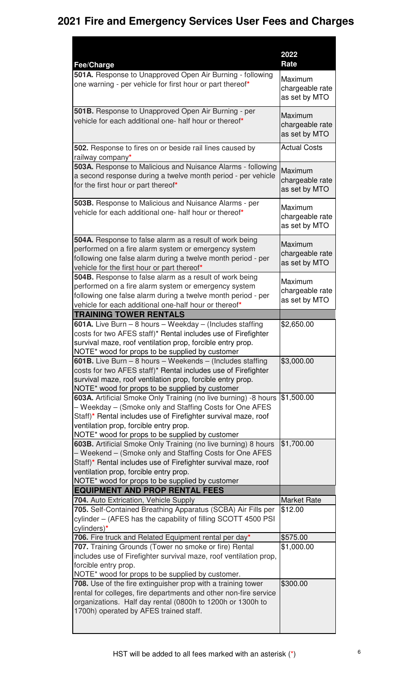|                                                                                                                                                                                                                                                                                           | 2022                                        |
|-------------------------------------------------------------------------------------------------------------------------------------------------------------------------------------------------------------------------------------------------------------------------------------------|---------------------------------------------|
| Fee/Charge                                                                                                                                                                                                                                                                                | Rate                                        |
| 501A. Response to Unapproved Open Air Burning - following<br>one warning - per vehicle for first hour or part thereof*                                                                                                                                                                    | Maximum<br>chargeable rate<br>as set by MTO |
| 501B. Response to Unapproved Open Air Burning - per<br>vehicle for each additional one- half hour or thereof*                                                                                                                                                                             | Maximum<br>chargeable rate<br>as set by MTO |
| 502. Response to fires on or beside rail lines caused by<br>railway company*                                                                                                                                                                                                              | <b>Actual Costs</b>                         |
| 503A. Response to Malicious and Nuisance Alarms - following<br>a second response during a twelve month period - per vehicle<br>for the first hour or part thereof*                                                                                                                        | Maximum<br>chargeable rate<br>as set by MTO |
| 503B. Response to Malicious and Nuisance Alarms - per<br>vehicle for each additional one- half hour or thereof*                                                                                                                                                                           | Maximum<br>chargeable rate<br>as set by MTO |
| 504A. Response to false alarm as a result of work being<br>performed on a fire alarm system or emergency system<br>following one false alarm during a twelve month period - per<br>vehicle for the first hour or part thereof*                                                            | Maximum<br>chargeable rate<br>as set by MTO |
| 504B. Response to false alarm as a result of work being<br>performed on a fire alarm system or emergency system<br>following one false alarm during a twelve month period - per<br>vehicle for each additional one-half hour or thereof*                                                  | Maximum<br>chargeable rate<br>as set by MTO |
| <b>TRAINING TOWER RENTALS</b>                                                                                                                                                                                                                                                             |                                             |
| <b>601A.</b> Live Burn $-$ 8 hours $-$ Weekday $-$ (Includes staffing<br>costs for two AFES staff)* Rental includes use of Firefighter<br>survival maze, roof ventilation prop, forcible entry prop.<br>NOTE* wood for props to be supplied by customer                                   | \$2,650.00                                  |
| <b>601B.</b> Live Burn $-$ 8 hours $-$ Weekends $-$ (Includes staffing<br>costs for two AFES staff)* Rental includes use of Firefighter<br>survival maze, roof ventilation prop, forcible entry prop.<br>NOTE* wood for props to be supplied by customer                                  | \$3,000.00                                  |
| 603A. Artificial Smoke Only Training (no live burning) -8 hours<br>- Weekday - (Smoke only and Staffing Costs for One AFES<br>Staff)* Rental includes use of Firefighter survival maze, roof<br>ventilation prop, forcible entry prop.<br>NOTE* wood for props to be supplied by customer | \$1,500.00                                  |
| 603B. Artificial Smoke Only Training (no live burning) 8 hours<br>- Weekend - (Smoke only and Staffing Costs for One AFES<br>Staff)* Rental includes use of Firefighter survival maze, roof<br>ventilation prop, forcible entry prop.<br>NOTE* wood for props to be supplied by customer  | \$1,700.00                                  |
| <b>EQUIPMENT AND PROP RENTAL FEES</b>                                                                                                                                                                                                                                                     |                                             |
| 704. Auto Extrication, Vehicle Supply                                                                                                                                                                                                                                                     | <b>Market Rate</b>                          |
| 705. Self-Contained Breathing Apparatus (SCBA) Air Fills per<br>cylinder - (AFES has the capability of filling SCOTT 4500 PSI<br>cylinders)*                                                                                                                                              | \$12.00                                     |
| 706. Fire truck and Related Equipment rental per day*                                                                                                                                                                                                                                     | \$575.00                                    |
| 707. Training Grounds (Tower no smoke or fire) Rental<br>includes use of Firefighter survival maze, roof ventilation prop,<br>forcible entry prop.<br>NOTE* wood for props to be supplied by customer.                                                                                    | \$1,000.00                                  |
| 708. Use of the fire extinguisher prop with a training tower<br>rental for colleges, fire departments and other non-fire service<br>organizations. Half day rental (0800h to 1200h or 1300h to<br>1700h) operated by AFES trained staff.                                                  | \$300.00                                    |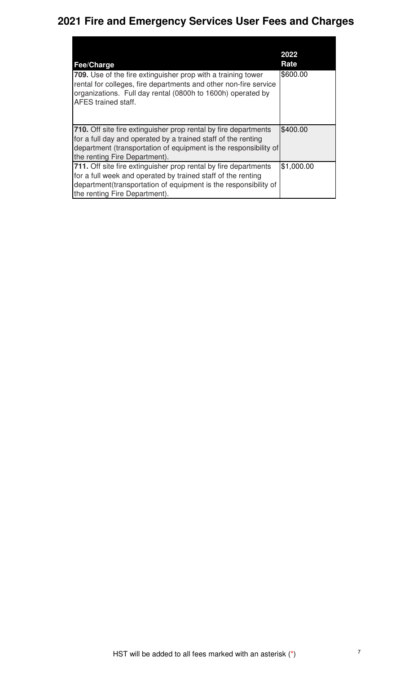| Fee/Charge<br>709. Use of the fire extinguisher prop with a training tower<br>rental for colleges, fire departments and other non-fire service<br>organizations. Full day rental (0800h to 1600h) operated by<br><b>AFES</b> trained staff.  | 2022<br>Rate<br>\$600.00 |
|----------------------------------------------------------------------------------------------------------------------------------------------------------------------------------------------------------------------------------------------|--------------------------|
| <b>710.</b> Off site fire extinguisher prop rental by fire departments<br>for a full day and operated by a trained staff of the renting<br>department (transportation of equipment is the responsibility of<br>the renting Fire Department). | \$400.00                 |
| 711. Off site fire extinguisher prop rental by fire departments<br>for a full week and operated by trained staff of the renting<br>department(transportation of equipment is the responsibility of<br>the renting Fire Department).          | \$1,000.00               |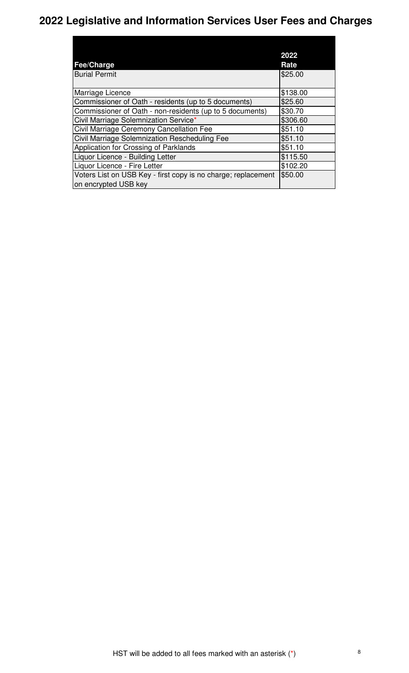# **2022 Legislative and Information Services User Fees and Charges**

|                                                               | 2022     |
|---------------------------------------------------------------|----------|
| Fee/Charge                                                    | Rate     |
| <b>Burial Permit</b>                                          | \$25.00  |
|                                                               |          |
| Marriage Licence                                              | \$138.00 |
| Commissioner of Oath - residents (up to 5 documents)          | \$25.60  |
| Commissioner of Oath - non-residents (up to 5 documents)      | \$30.70  |
| Civil Marriage Solemnization Service*                         | \$306.60 |
| Civil Marriage Ceremony Cancellation Fee                      | \$51.10  |
| Civil Marriage Solemnization Rescheduling Fee                 | \$51.10  |
| Application for Crossing of Parklands                         | \$51.10  |
| Liquor Licence - Building Letter                              | \$115.50 |
| Liquor Licence - Fire Letter                                  | \$102.20 |
| Voters List on USB Key - first copy is no charge; replacement | \$50.00  |
| on encrypted USB key                                          |          |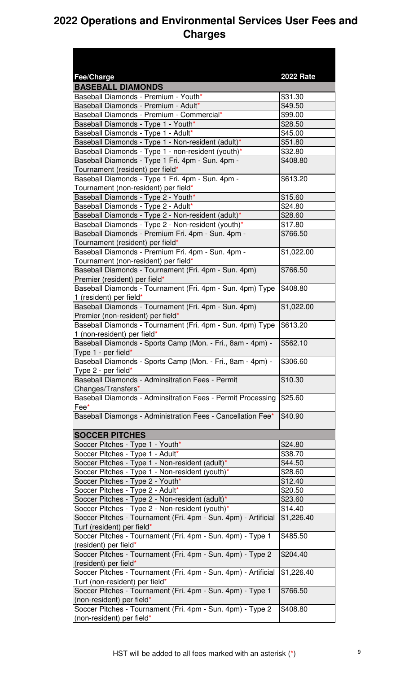| <b>Fee/Charge</b>                                                                            | <b>2022 Rate</b> |
|----------------------------------------------------------------------------------------------|------------------|
| <b>BASEBALL DIAMONDS</b>                                                                     |                  |
| Baseball Diamonds - Premium - Youth*                                                         | \$31.30          |
| Baseball Diamonds - Premium - Adult*                                                         | \$49.50          |
| Baseball Diamonds - Premium - Commercial*                                                    | \$99.00          |
| Baseball Diamonds - Type 1 - Youth*                                                          | \$28.50          |
| Baseball Diamonds - Type 1 - Adult*                                                          | \$45.00          |
| Baseball Diamonds - Type 1 - Non-resident (adult)*                                           | \$51.80          |
| Baseball Diamonds - Type 1 - non-resident (youth)*                                           | \$32.80          |
| Baseball Diamonds - Type 1 Fri. 4pm - Sun. 4pm -                                             | \$408.80         |
| Tournament (resident) per field*                                                             |                  |
| Baseball Diamonds - Type 1 Fri. 4pm - Sun. 4pm -<br>Tournament (non-resident) per field*     | \$613.20         |
| Baseball Diamonds - Type 2 - Youth*                                                          | \$15.60          |
| Baseball Diamonds - Type 2 - Adult*                                                          | \$24.80          |
|                                                                                              |                  |
| Baseball Diamonds - Type 2 - Non-resident (adult)*                                           | \$28.60          |
| Baseball Diamonds - Type 2 - Non-resident (youth)*                                           | \$17.80          |
| Baseball Diamonds - Premium Fri. 4pm - Sun. 4pm -<br>Tournament (resident) per field*        | \$766.50         |
| Baseball Diamonds - Premium Fri. 4pm - Sun. 4pm -                                            | \$1,022.00       |
| Tournament (non-resident) per field*                                                         |                  |
| Baseball Diamonds - Tournament (Fri. 4pm - Sun. 4pm)                                         | \$766.50         |
| Premier (resident) per field*                                                                |                  |
| Baseball Diamonds - Tournament (Fri. 4pm - Sun. 4pm) Type                                    | \$408.80         |
| 1 (resident) per field*                                                                      |                  |
| Baseball Diamonds - Tournament (Fri. 4pm - Sun. 4pm)                                         | \$1,022.00       |
| Premier (non-resident) per field*                                                            |                  |
| Baseball Diamonds - Tournament (Fri. 4pm - Sun. 4pm) Type                                    | \$613.20         |
| 1 (non-resident) per field*                                                                  |                  |
| Baseball Diamonds - Sports Camp (Mon. - Fri., 8am - 4pm) -                                   | \$562.10         |
| Type 1 - per field*<br>Baseball Diamonds - Sports Camp (Mon. - Fri., 8am - 4pm) -            | \$306.60         |
| Type 2 - per field*                                                                          |                  |
| Baseball Diamonds - Adminsitration Fees - Permit                                             | \$10.30          |
| Changes/Transfers*                                                                           |                  |
| Baseball Diamonds - Adminsitration Fees - Permit Processing                                  | \$25.60          |
| Fee*                                                                                         |                  |
| Baseball Diamongs - Administration Fees - Cancellation Fee*                                  | \$40.90          |
| <b>SOCCER PITCHES</b>                                                                        |                  |
| Soccer Pitches - Type 1 - Youth*                                                             | \$24.80          |
| Soccer Pitches - Type 1 - Adult*                                                             | \$38.70          |
| Soccer Pitches - Type 1 - Non-resident (adult)*                                              | \$44.50          |
| Soccer Pitches - Type 1 - Non-resident (youth)*                                              | \$28.60          |
| Soccer Pitches - Type 2 - Youth*                                                             | \$12.40          |
| Soccer Pitches - Type 2 - Adult*                                                             | \$20.50          |
|                                                                                              | \$23.60          |
| Soccer Pitches - Type 2 - Non-resident (adult)*                                              |                  |
| Soccer Pitches - Type 2 - Non-resident (youth)*                                              | \$14.40          |
| Soccer Pitches - Tournament (Fri. 4pm - Sun. 4pm) - Artificial<br>Turf (resident) per field* | \$1,226.40       |
| Soccer Pitches - Tournament (Fri. 4pm - Sun. 4pm) - Type 1                                   | \$485.50         |
| (resident) per field*                                                                        |                  |
| Soccer Pitches - Tournament (Fri. 4pm - Sun. 4pm) - Type 2                                   | \$204.40         |
| (resident) per field*                                                                        |                  |
| Soccer Pitches - Tournament (Fri. 4pm - Sun. 4pm) - Artificial                               | \$1,226.40       |
| Turf (non-resident) per field*                                                               |                  |
| Soccer Pitches - Tournament (Fri. 4pm - Sun. 4pm) - Type 1                                   | \$766.50         |
| (non-resident) per field*                                                                    |                  |
| Soccer Pitches - Tournament (Fri. 4pm - Sun. 4pm) - Type 2                                   | \$408.80         |
| (non-resident) per field*                                                                    |                  |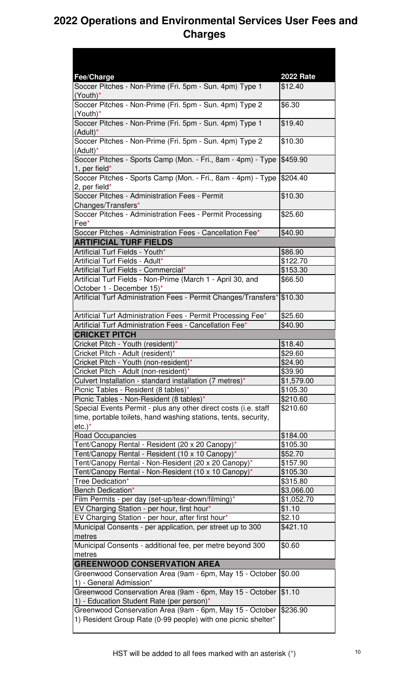| Fee/Charge                                                                                                                                      | <b>2022 Rate</b> |
|-------------------------------------------------------------------------------------------------------------------------------------------------|------------------|
| Soccer Pitches - Non-Prime (Fri. 5pm - Sun. 4pm) Type 1<br>$(Your)$ *                                                                           | \$12.40          |
| Soccer Pitches - Non-Prime (Fri. 5pm - Sun. 4pm) Type 2<br>$(Youth)^*$                                                                          | \$6.30           |
| Soccer Pitches - Non-Prime (Fri. 5pm - Sun. 4pm) Type 1<br>$(Adult)^*$                                                                          | \$19.40          |
| Soccer Pitches - Non-Prime (Fri. 5pm - Sun. 4pm) Type 2<br>(Adult)*                                                                             | \$10.30          |
| Soccer Pitches - Sports Camp (Mon. - Fri., 8am - 4pm) - Type<br>1, per field $*$                                                                | \$459.90         |
| Soccer Pitches - Sports Camp (Mon. - Fri., 8am - 4pm) - Type<br>2, per field*                                                                   | \$204.40         |
| Soccer Pitches - Administration Fees - Permit<br>Changes/Transfers*                                                                             | \$10.30          |
| Soccer Pitches - Administration Fees - Permit Processing<br>Fee*                                                                                | \$25.60          |
| Soccer Pitches - Administration Fees - Cancellation Fee*                                                                                        | \$40.90          |
| <b>ARTIFICIAL TURF FIELDS</b>                                                                                                                   |                  |
| Artificial Turf Fields - Youth*                                                                                                                 | \$86.90          |
| Artificial Turf Fields - Adult*                                                                                                                 | \$122.70         |
| Artificial Turf Fields - Commercial*                                                                                                            | \$153.30         |
| Artificial Turf Fields - Non-Prime (March 1 - April 30, and<br>October 1 - December 15)*                                                        | \$66.50          |
| Artificial Turf Administration Fees - Permit Changes/Transfers*                                                                                 | \$10.30          |
| Artificial Turf Administration Fees - Permit Processing Fee*                                                                                    | \$25.60          |
| Artificial Turf Administration Fees - Cancellation Fee*                                                                                         | \$40.90          |
| <b>CRICKET PITCH</b>                                                                                                                            |                  |
| Cricket Pitch - Youth (resident)*                                                                                                               | \$18.40          |
| Cricket Pitch - Adult (resident)*                                                                                                               | \$29.60          |
| Cricket Pitch - Youth (non-resident)*                                                                                                           | \$24.90          |
| Cricket Pitch - Adult (non-resident)*                                                                                                           | \$39.90          |
| Culvert Installation - standard installation (7 metres)*                                                                                        | \$1,579.00       |
| Picnic Tables - Resident (8 tables)*                                                                                                            | \$105.30         |
| Picnic Tables - Non-Resident (8 tables)*                                                                                                        | \$210.60         |
| Special Events Permit - plus any other direct costs (i.e. staff<br>time, portable toilets, hand washing stations, tents, security,<br>$etc.$ )* | \$210.60         |
| <b>Road Occupancies</b>                                                                                                                         | \$184.00         |
| Tent/Canopy Rental - Resident (20 x 20 Canopy)*                                                                                                 | \$105.30         |
| Tent/Canopy Rental - Resident (10 x 10 Canopy)*                                                                                                 | \$52.70          |
| Tent/Canopy Rental - Non-Resident (20 x 20 Canopy)*                                                                                             | \$157.90         |
| Tent/Canopy Rental - Non-Resident (10 x 10 Canopy)*                                                                                             | \$105.30         |
| Tree Dedication*                                                                                                                                | \$315.80         |
| Bench Dedication*                                                                                                                               | \$3,066.00       |
| Film Permits - per day (set-up/tear-down/filming)*                                                                                              | \$1,052.70       |
| EV Charging Station - per hour, first hour*                                                                                                     | \$1.10           |
| EV Charging Station - per hour, after first hour*                                                                                               | \$2.10           |
| Municipal Consents - per application, per street up to 300<br>metres                                                                            | \$421.10         |
| Municipal Consents - additional fee, per metre beyond 300<br>metres                                                                             | \$0.60           |
| <b>GREENWOOD CONSERVATION AREA</b>                                                                                                              |                  |
| Greenwood Conservation Area (9am - 6pm, May 15 - October<br>1) - General Admission*                                                             | \$0.00           |
| Greenwood Conservation Area (9am - 6pm, May 15 - October<br>1) - Education Student Rate (per person)*                                           | \$1.10           |
| Greenwood Conservation Area (9am - 6pm, May 15 - October<br>1) Resident Group Rate (0-99 people) with one picnic shelter*                       | \$236.90         |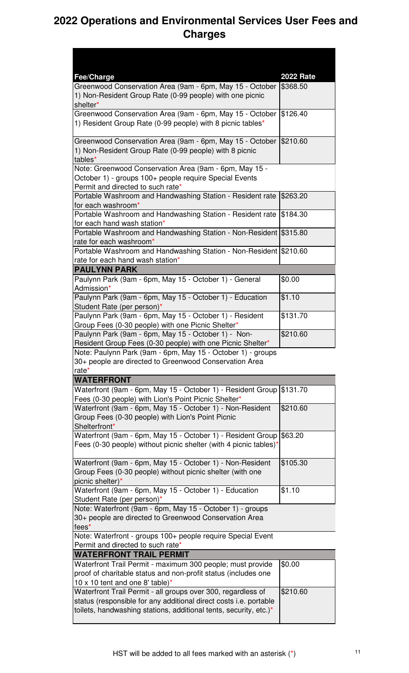| <b>Fee/Charge</b>                                                                                                                                                                                      | <b>2022 Rate</b> |
|--------------------------------------------------------------------------------------------------------------------------------------------------------------------------------------------------------|------------------|
| Greenwood Conservation Area (9am - 6pm, May 15 - October<br>1) Non-Resident Group Rate (0-99 people) with one picnic<br>shelter*                                                                       | \$368.50         |
| Greenwood Conservation Area (9am - 6pm, May 15 - October<br>1) Resident Group Rate (0-99 people) with 8 picnic tables*                                                                                 | \$126.40         |
| Greenwood Conservation Area (9am - 6pm, May 15 - October<br>1) Non-Resident Group Rate (0-99 people) with 8 picnic<br>tables*                                                                          | \$210.60         |
| Note: Greenwood Conservation Area (9am - 6pm, May 15 -<br>October 1) - groups 100+ people require Special Events<br>Permit and directed to such rate*                                                  |                  |
| Portable Washroom and Handwashing Station - Resident rate<br>for each washroom*                                                                                                                        | \$263.20         |
| Portable Washroom and Handwashing Station - Resident rate<br>for each hand wash station*                                                                                                               | \$184.30         |
| Portable Washroom and Handwashing Station - Non-Resident \$315.80<br>rate for each washroom*                                                                                                           |                  |
| Portable Washroom and Handwashing Station - Non-Resident \$210.60<br>rate for each hand wash station*                                                                                                  |                  |
| <b>PAULYNN PARK</b>                                                                                                                                                                                    |                  |
| Paulynn Park (9am - 6pm, May 15 - October 1) - General<br>Admission*                                                                                                                                   | \$0.00           |
| Paulynn Park (9am - 6pm, May 15 - October 1) - Education<br>Student Rate (per person)*                                                                                                                 | \$1.10           |
| Paulynn Park (9am - 6pm, May 15 - October 1) - Resident<br>Group Fees (0-30 people) with one Picnic Shelter*                                                                                           | \$131.70         |
| Paulynn Park (9am - 6pm, May 15 - October 1) - Non-<br>Resident Group Fees (0-30 people) with one Picnic Shelter*                                                                                      | \$210.60         |
| Note: Paulynn Park (9am - 6pm, May 15 - October 1) - groups<br>30+ people are directed to Greenwood Conservation Area<br>rate*                                                                         |                  |
| <b>WATERFRONT</b>                                                                                                                                                                                      |                  |
| Waterfront (9am - 6pm, May 15 - October 1) - Resident Group<br>Fees (0-30 people) with Lion's Point Picnic Shelter*                                                                                    | \$131.70         |
| Waterfront (9am - 6pm, May 15 - October 1) - Non-Resident<br>Group Fees (0-30 people) with Lion's Point Picnic<br>Shelterfront*                                                                        | \$210.60         |
| Waterfront (9am - 6pm, May 15 - October 1) - Resident Group<br>Fees (0-30 people) without picnic shelter (with 4 picnic tables) <sup>*</sup>                                                           | \$63.20          |
| Waterfront (9am - 6pm, May 15 - October 1) - Non-Resident<br>Group Fees (0-30 people) without picnic shelter (with one<br>picnic shelter)*                                                             | \$105.30         |
| Waterfront (9am - 6pm, May 15 - October 1) - Education<br>Student Rate (per person)*                                                                                                                   | \$1.10           |
| Note: Waterfront (9am - 6pm, May 15 - October 1) - groups<br>30+ people are directed to Greenwood Conservation Area<br>fees*                                                                           |                  |
| Note: Waterfront - groups 100+ people require Special Event<br>Permit and directed to such rate*                                                                                                       |                  |
| <b>WATERFRONT TRAIL PERMIT</b>                                                                                                                                                                         |                  |
| Waterfront Trail Permit - maximum 300 people; must provide<br>proof of charitable status and non-profit status (includes one<br>10 x 10 tent and one 8' table)*                                        | \$0.00           |
| Waterfront Trail Permit - all groups over 300, regardless of<br>status (responsible for any additional direct costs i.e. portable<br>toilets, handwashing stations, additional tents, security, etc.)* | \$210.60         |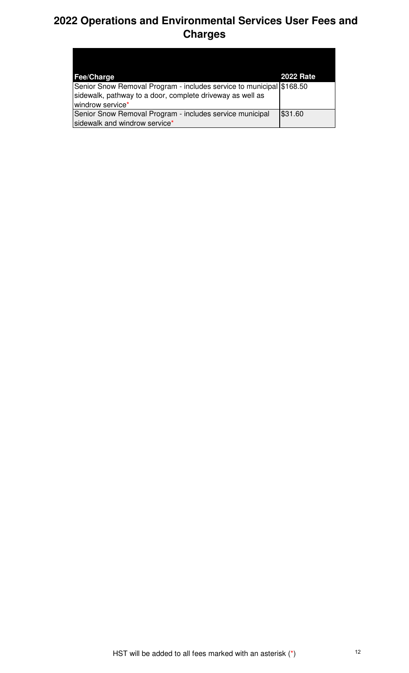| <b>Fee/Charge</b>                                                    | <b>2022 Rate</b> |
|----------------------------------------------------------------------|------------------|
| Senior Snow Removal Program - includes service to municipal \$168.50 |                  |
| sidewalk, pathway to a door, complete driveway as well as            |                  |
| windrow service*                                                     |                  |
| Senior Snow Removal Program - includes service municipal             | \$31.60          |
| sidewalk and windrow service*                                        |                  |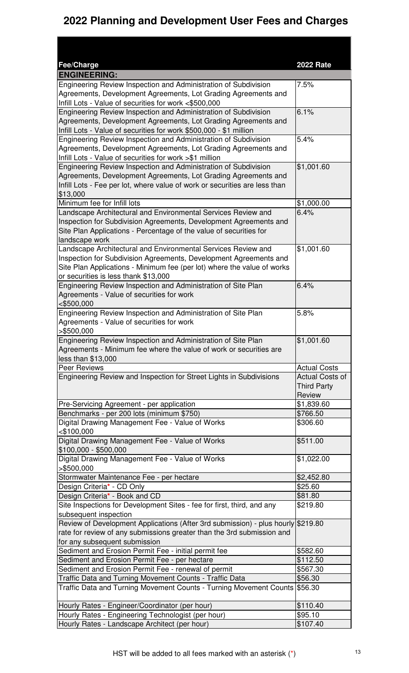#### **2022 Planning and Development User Fees and Charges**

| Fee/Charge                                                                                                                                   | <b>2022 Rate</b>             |
|----------------------------------------------------------------------------------------------------------------------------------------------|------------------------------|
| <b>ENGINEERING:</b>                                                                                                                          |                              |
| Engineering Review Inspection and Administration of Subdivision                                                                              | 7.5%                         |
| Agreements, Development Agreements, Lot Grading Agreements and                                                                               |                              |
| Infill Lots - Value of securities for work <\$500,000                                                                                        |                              |
| Engineering Review Inspection and Administration of Subdivision                                                                              | 6.1%                         |
| Agreements, Development Agreements, Lot Grading Agreements and                                                                               |                              |
| Infill Lots - Value of securities for work \$500,000 - \$1 million                                                                           | 5.4%                         |
| Engineering Review Inspection and Administration of Subdivision<br>Agreements, Development Agreements, Lot Grading Agreements and            |                              |
| Infill Lots - Value of securities for work >\$1 million                                                                                      |                              |
| Engineering Review Inspection and Administration of Subdivision                                                                              | \$1,001.60                   |
| Agreements, Development Agreements, Lot Grading Agreements and                                                                               |                              |
| Infill Lots - Fee per lot, where value of work or securities are less than                                                                   |                              |
| \$13,000                                                                                                                                     |                              |
| Minimum fee for Infill lots                                                                                                                  | \$1,000.00                   |
| Landscape Architectural and Environmental Services Review and                                                                                | 6.4%                         |
| Inspection for Subdivision Agreements, Development Agreements and                                                                            |                              |
| Site Plan Applications - Percentage of the value of securities for                                                                           |                              |
| landscape work                                                                                                                               |                              |
| Landscape Architectural and Environmental Services Review and                                                                                | \$1,001.60                   |
| Inspection for Subdivision Agreements, Development Agreements and<br>Site Plan Applications - Minimum fee (per lot) where the value of works |                              |
| or securities is less thank \$13,000                                                                                                         |                              |
| Engineering Review Inspection and Administration of Site Plan                                                                                | 6.4%                         |
| Agreements - Value of securities for work                                                                                                    |                              |
| $<$ \$500,000                                                                                                                                |                              |
| Engineering Review Inspection and Administration of Site Plan                                                                                | 5.8%                         |
| Agreements - Value of securities for work                                                                                                    |                              |
| $>$ \$500,000                                                                                                                                |                              |
| Engineering Review Inspection and Administration of Site Plan                                                                                | \$1,001.60                   |
| Agreements - Minimum fee where the value of work or securities are                                                                           |                              |
| less than \$13,000                                                                                                                           |                              |
| Peer Reviews                                                                                                                                 | <b>Actual Costs</b>          |
| Engineering Review and Inspection for Street Lights in Subdivisions                                                                          | <b>Actual Costs of</b>       |
|                                                                                                                                              | <b>Third Party</b><br>Review |
| Pre-Servicing Agreement - per application                                                                                                    | \$1,839.60                   |
| Benchmarks - per 200 lots (minimum \$750)                                                                                                    | \$766.50                     |
| Digital Drawing Management Fee - Value of Works                                                                                              | \$306.60                     |
| < \$100,000                                                                                                                                  |                              |
| Digital Drawing Management Fee - Value of Works                                                                                              | \$511.00                     |
| \$100,000 - \$500,000                                                                                                                        |                              |
| Digital Drawing Management Fee - Value of Works                                                                                              | \$1,022.00                   |
| > \$500,000                                                                                                                                  |                              |
| Stormwater Maintenance Fee - per hectare                                                                                                     | \$2,452.80                   |
| Design Criteria* - CD Only                                                                                                                   | \$25.60                      |
| Design Criteria* - Book and CD                                                                                                               | \$81.80                      |
| Site Inspections for Development Sites - fee for first, third, and any<br>subsequent inspection                                              | \$219.80                     |
| Review of Development Applications (After 3rd submission) - plus hourly \$219.80                                                             |                              |
| rate for review of any submissions greater than the 3rd submission and                                                                       |                              |
| for any subsequent submission                                                                                                                |                              |
| Sediment and Erosion Permit Fee - initial permit fee                                                                                         | \$582.60                     |
| Sediment and Erosion Permit Fee - per hectare                                                                                                | \$112.50                     |
| Sediment and Erosion Permit Fee - renewal of permit                                                                                          | \$567.30                     |
| Traffic Data and Turning Movement Counts - Traffic Data                                                                                      | \$56.30                      |
| Traffic Data and Turning Movement Counts - Turning Movement Counts \$56.30                                                                   |                              |
|                                                                                                                                              |                              |
| Hourly Rates - Engineer/Coordinator (per hour)                                                                                               | \$110.40                     |
| Hourly Rates - Engineering Technologist (per hour)                                                                                           | \$95.10                      |
| Hourly Rates - Landscape Architect (per hour)                                                                                                | \$107.40                     |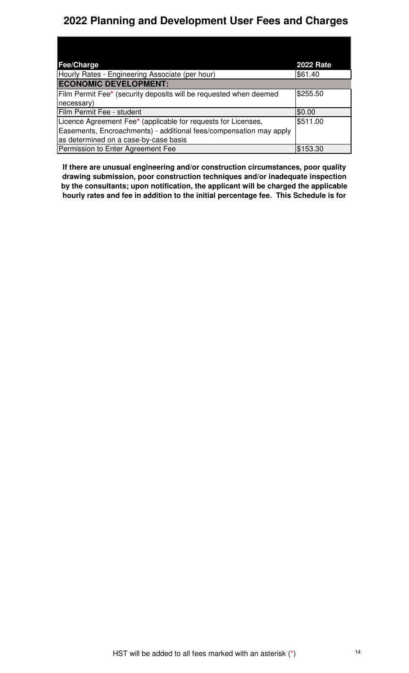#### **2022 Planning and Development User Fees and Charges**

| Fee/Charge                                                         | <b>2022 Rate</b> |
|--------------------------------------------------------------------|------------------|
| Hourly Rates - Engineering Associate (per hour)                    | \$61.40          |
| <b>ECONOMIC DEVELOPMENT:</b>                                       |                  |
| Film Permit Fee* (security deposits will be requested when deemed  | \$255.50         |
| necessary)                                                         |                  |
| Film Permit Fee - student                                          | \$0.00           |
| Licence Agreement Fee* (applicable for requests for Licenses,      | \$511.00         |
| Easements, Encroachments) - additional fees/compensation may apply |                  |
| as determined on a case-by-case basis                              |                  |
| Permission to Enter Agreement Fee                                  | \$153.30         |

**If there are unusual engineering and/or construction circumstances, poor quality drawing submission, poor construction techniques and/or inadequate inspection by the consultants; upon notification, the applicant will be charged the applicable hourly rates and fee in addition to the initial percentage fee. This Schedule is for**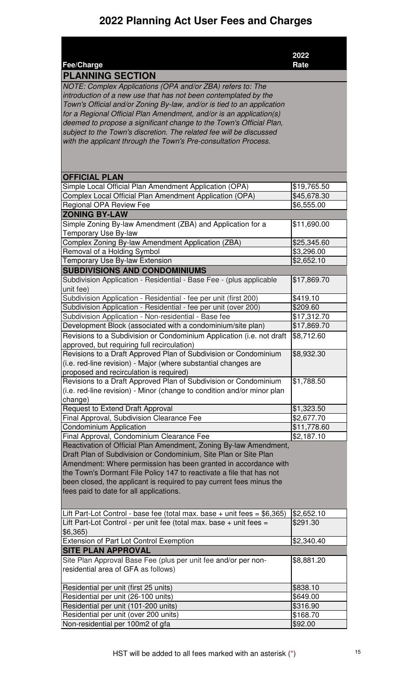|                                                                          | 2022                   |
|--------------------------------------------------------------------------|------------------------|
| Fee/Charge                                                               | Rate                   |
| <b>PLANNING SECTION</b>                                                  |                        |
| NOTE: Complex Applications (OPA and/or ZBA) refers to: The               |                        |
| introduction of a new use that has not been contemplated by the          |                        |
| Town's Official and/or Zoning By-law, and/or is tied to an application   |                        |
| for a Regional Official Plan Amendment, and/or is an application(s)      |                        |
| deemed to propose a significant change to the Town's Official Plan,      |                        |
| subject to the Town's discretion. The related fee will be discussed      |                        |
| with the applicant through the Town's Pre-consultation Process.          |                        |
|                                                                          |                        |
|                                                                          |                        |
|                                                                          |                        |
| <b>OFFICIAL PLAN</b>                                                     |                        |
| Simple Local Official Plan Amendment Application (OPA)                   | \$19,765.50            |
| Complex Local Official Plan Amendment Application (OPA)                  | \$45,678.30            |
| <b>Regional OPA Review Fee</b>                                           | \$6,555.00             |
| <b>ZONING BY-LAW</b>                                                     |                        |
| Simple Zoning By-law Amendment (ZBA) and Application for a               | \$11,690.00            |
| Temporary Use By-law                                                     |                        |
| Complex Zoning By-law Amendment Application (ZBA)                        | \$25,345.60            |
| Removal of a Holding Symbol                                              | \$3,296.00             |
| Temporary Use By-law Extension                                           | \$2,652.10             |
| <b>SUBDIVISIONS AND CONDOMINIUMS</b>                                     |                        |
| Subdivision Application - Residential - Base Fee - (plus applicable      | \$17,869.70            |
| unit fee)                                                                |                        |
| Subdivision Application - Residential - fee per unit (first 200)         | \$419.10               |
| Subdivision Application - Residential - fee per unit (over 200)          | \$209.60               |
| Subdivision Application - Non-residential - Base fee                     | \$17,312.70            |
| Development Block (associated with a condominium/site plan)              | \$17,869.70            |
| Revisions to a Subdivision or Condominium Application (i.e. not draft    | \$8,712.60             |
| approved, but requiring full recirculation)                              |                        |
| Revisions to a Draft Approved Plan of Subdivision or Condominium         | \$8,932.30             |
| (i.e. red-line revision) - Major (where substantial changes are          |                        |
| proposed and recirculation is required)                                  |                        |
| Revisions to a Draft Approved Plan of Subdivision or Condominium         | \$1,788.50             |
| (i.e. red-line revision) - Minor (change to condition and/or minor plan  |                        |
| change)                                                                  |                        |
| Request to Extend Draft Approval                                         | $\overline{$}1,323.50$ |
| Final Approval, Subdivision Clearance Fee                                | \$2,677.70             |
| Condominium Application                                                  | \$11,778.60            |
| Final Approval, Condominium Clearance Fee                                | \$2,187.10             |
| Reactivation of Official Plan Amendment, Zoning By-law Amendment,        |                        |
| Draft Plan of Subdivision or Condominium, Site Plan or Site Plan         |                        |
| Amendment: Where permission has been granted in accordance with          |                        |
| the Town's Dormant File Policy 147 to reactivate a file that has not     |                        |
| been closed, the applicant is required to pay current fees minus the     |                        |
| fees paid to date for all applications.                                  |                        |
|                                                                          |                        |
| Lift Part-Lot Control - base fee (total max. base + unit fees = \$6,365) | \$2,652.10             |
| Lift Part-Lot Control - per unit fee (total max. base + unit fees =      | \$291.30               |
| \$6,365)                                                                 |                        |
| Extension of Part Lot Control Exemption                                  | \$2,340.40             |
| <b>SITE PLAN APPROVAL</b>                                                |                        |
| Site Plan Approval Base Fee (plus per unit fee and/or per non-           | \$8,881.20             |
| residential area of GFA as follows)                                      |                        |
|                                                                          |                        |
| Residential per unit (first 25 units)                                    | \$838.10               |
| Residential per unit (26-100 units)                                      | \$649.00               |
| Residential per unit (101-200 units)                                     | \$316.90               |
| Residential per unit (over 200 units)                                    | \$168.70               |
| Non-residential per 100m2 of gfa                                         | \$92.00                |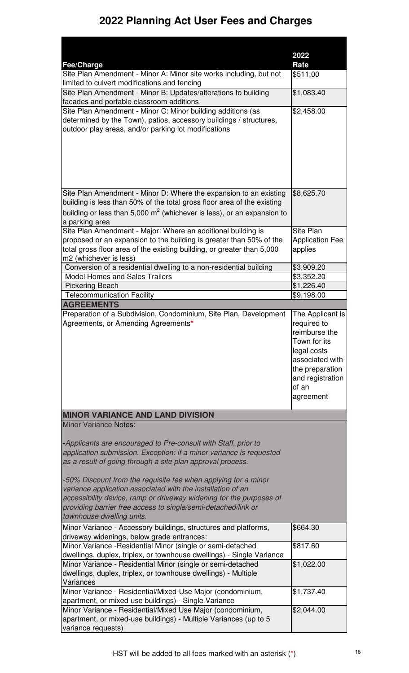|                                                                                                                                     | 2022                                |
|-------------------------------------------------------------------------------------------------------------------------------------|-------------------------------------|
| <b>Fee/Charge</b><br>Site Plan Amendment - Minor A: Minor site works including, but not                                             | Rate<br>\$511.00                    |
| limited to culvert modifications and fencing                                                                                        |                                     |
| Site Plan Amendment - Minor B: Updates/alterations to building                                                                      | \$1,083.40                          |
| facades and portable classroom additions                                                                                            |                                     |
| Site Plan Amendment - Minor C: Minor building additions (as                                                                         | \$2,458.00                          |
| determined by the Town), patios, accessory buildings / structures,<br>outdoor play areas, and/or parking lot modifications          |                                     |
|                                                                                                                                     |                                     |
|                                                                                                                                     |                                     |
|                                                                                                                                     |                                     |
|                                                                                                                                     |                                     |
|                                                                                                                                     |                                     |
| Site Plan Amendment - Minor D: Where the expansion to an existing                                                                   | \$8,625.70                          |
| building is less than 50% of the total gross floor area of the existing                                                             |                                     |
| building or less than 5,000 $m^2$ (whichever is less), or an expansion to                                                           |                                     |
| a parking area                                                                                                                      |                                     |
| Site Plan Amendment - Major: Where an additional building is<br>proposed or an expansion to the building is greater than 50% of the | Site Plan<br><b>Application Fee</b> |
| total gross floor area of the existing building, or greater than 5,000                                                              | applies                             |
| m2 (whichever is less)                                                                                                              |                                     |
| Conversion of a residential dwelling to a non-residential building                                                                  | \$3,909.20                          |
| <b>Model Homes and Sales Trailers</b>                                                                                               | \$3,352.20                          |
| <b>Pickering Beach</b><br><b>Telecommunication Facility</b>                                                                         | \$1,226.40<br>\$9,198.00            |
| <b>AGREEMENTS</b>                                                                                                                   |                                     |
| Preparation of a Subdivision, Condominium, Site Plan, Development                                                                   | The Applicant is                    |
| Agreements, or Amending Agreements*                                                                                                 | required to                         |
|                                                                                                                                     | reimburse the<br>Town for its       |
|                                                                                                                                     | legal costs                         |
|                                                                                                                                     | associated with                     |
|                                                                                                                                     | the preparation                     |
|                                                                                                                                     | and registration<br>of an           |
|                                                                                                                                     | agreement                           |
|                                                                                                                                     |                                     |
|                                                                                                                                     |                                     |
| <b>MINOR VARIANCE AND LAND DIVISION</b>                                                                                             |                                     |
| <b>Minor Variance Notes:</b>                                                                                                        |                                     |
|                                                                                                                                     |                                     |
| -Applicants are encouraged to Pre-consult with Staff, prior to                                                                      |                                     |
| application submission. Exception: if a minor variance is requested<br>as a result of going through a site plan approval process.   |                                     |
|                                                                                                                                     |                                     |
| -50% Discount from the requisite fee when applying for a minor                                                                      |                                     |
| variance application associated with the installation of an                                                                         |                                     |
| accessibility device, ramp or driveway widening for the purposes of                                                                 |                                     |
| providing barrier free access to single/semi-detached/link or<br>townhouse dwelling units.                                          |                                     |
| Minor Variance - Accessory buildings, structures and platforms,                                                                     | \$664.30                            |
| driveway widenings, below grade entrances:                                                                                          |                                     |
| Minor Variance - Residential Minor (single or semi-detached                                                                         | \$817.60                            |
| dwellings, duplex, triplex, or townhouse dwellings) - Single Variance                                                               |                                     |
| Minor Variance - Residential Minor (single or semi-detached<br>dwellings, duplex, triplex, or townhouse dwellings) - Multiple       | \$1,022.00                          |
| Variances                                                                                                                           |                                     |
| Minor Variance - Residential/Mixed-Use Major (condominium,                                                                          | \$1,737.40                          |
| apartment, or mixed-use buildings) - Single Variance                                                                                |                                     |
| Minor Variance - Residential/Mixed Use Major (condominium,<br>apartment, or mixed-use buildings) - Multiple Variances (up to 5      | \$2,044.00                          |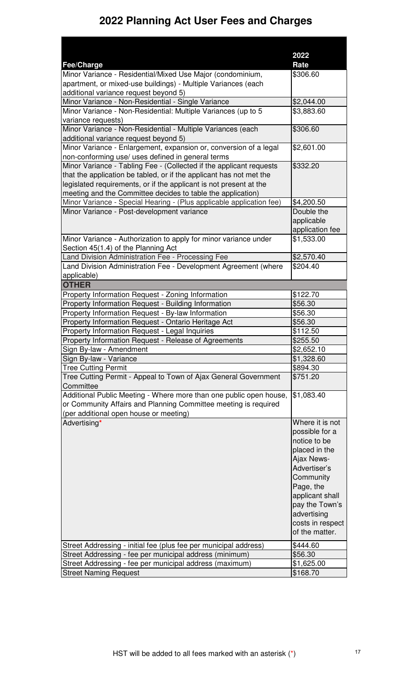|                                                                                                                        | 2022             |
|------------------------------------------------------------------------------------------------------------------------|------------------|
| <b>Fee/Charge</b>                                                                                                      | Rate             |
| Minor Variance - Residential/Mixed Use Major (condominium,                                                             | \$306.60         |
| apartment, or mixed-use buildings) - Multiple Variances (each                                                          |                  |
| additional variance request beyond 5)                                                                                  |                  |
| Minor Variance - Non-Residential - Single Variance                                                                     | \$2,044.00       |
| Minor Variance - Non-Residential: Multiple Variances (up to 5                                                          | \$3,883.60       |
| variance requests)                                                                                                     |                  |
| Minor Variance - Non-Residential - Multiple Variances (each                                                            | \$306.60         |
| additional variance request beyond 5)                                                                                  |                  |
| Minor Variance - Enlargement, expansion or, conversion of a legal<br>non-conforming use/ uses defined in general terms | \$2,601.00       |
| Minor Variance - Tabling Fee - (Collected if the applicant requests                                                    | \$332.20         |
| that the application be tabled, or if the applicant has not met the                                                    |                  |
| legislated requirements, or if the applicant is not present at the                                                     |                  |
| meeting and the Committee decides to table the application)                                                            |                  |
| Minor Variance - Special Hearing - (Plus applicable application fee)                                                   | \$4,200.50       |
| Minor Variance - Post-development variance                                                                             | Double the       |
|                                                                                                                        | applicable       |
|                                                                                                                        | application fee  |
| Minor Variance - Authorization to apply for minor variance under                                                       | \$1,533.00       |
| Section 45(1.4) of the Planning Act                                                                                    |                  |
| Land Division Administration Fee - Processing Fee                                                                      | \$2,570.40       |
| Land Division Administration Fee - Development Agreement (where                                                        | \$204.40         |
| applicable)                                                                                                            |                  |
| <b>OTHER</b>                                                                                                           |                  |
| Property Information Request - Zoning Information                                                                      | \$122.70         |
| Property Information Request - Building Information                                                                    | \$56.30          |
| Property Information Request - By-law Information                                                                      | \$56.30          |
| Property Information Request - Ontario Heritage Act                                                                    | \$56.30          |
| Property Information Request - Legal Inquiries                                                                         | \$112.50         |
| Property Information Request - Release of Agreements                                                                   | \$255.50         |
| Sign By-law - Amendment                                                                                                | \$2,652.10       |
| Sign By-law - Variance                                                                                                 | \$1,328.60       |
| <b>Tree Cutting Permit</b>                                                                                             | \$894.30         |
| Tree Cutting Permit - Appeal to Town of Ajax General Government<br>Committee                                           | \$751.20         |
| Additional Public Meeting - Where more than one public open house,                                                     | \$1,083.40       |
| or Community Affairs and Planning Committee meeting is required                                                        |                  |
| (per additional open house or meeting)                                                                                 |                  |
| Advertising*                                                                                                           | Where it is not  |
|                                                                                                                        | possible for a   |
|                                                                                                                        | notice to be     |
|                                                                                                                        | placed in the    |
|                                                                                                                        | Ajax News-       |
|                                                                                                                        | Advertiser's     |
|                                                                                                                        | Community        |
|                                                                                                                        | Page, the        |
|                                                                                                                        | applicant shall  |
|                                                                                                                        | pay the Town's   |
|                                                                                                                        | advertising      |
|                                                                                                                        | costs in respect |
|                                                                                                                        | of the matter.   |
| Street Addressing - initial fee (plus fee per municipal address)                                                       | \$444.60         |
| Street Addressing - fee per municipal address (minimum)                                                                | \$56.30          |
| Street Addressing - fee per municipal address (maximum)                                                                | \$1,625.00       |
| <b>Street Naming Request</b>                                                                                           | \$168.70         |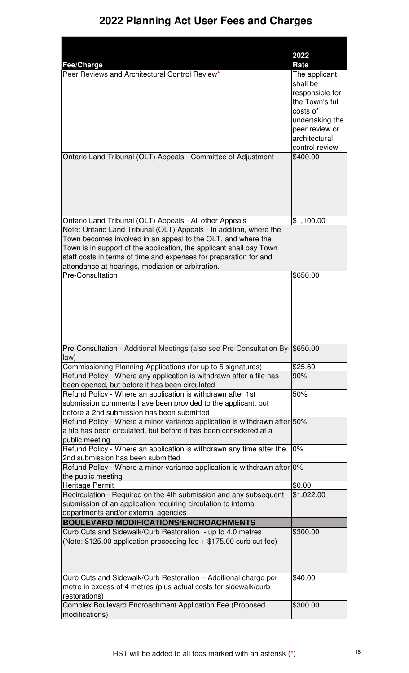|                                                                                                                                    | 2022                      |
|------------------------------------------------------------------------------------------------------------------------------------|---------------------------|
| <b>Fee/Charge</b><br>Peer Reviews and Architectural Control Review*                                                                | Rate                      |
|                                                                                                                                    | The applicant<br>shall be |
|                                                                                                                                    | responsible for           |
|                                                                                                                                    | the Town's full           |
|                                                                                                                                    | costs of                  |
|                                                                                                                                    | undertaking the           |
|                                                                                                                                    | peer review or            |
|                                                                                                                                    | architectural             |
|                                                                                                                                    | control review.           |
| Ontario Land Tribunal (OLT) Appeals - Committee of Adjustment                                                                      | \$400.00                  |
|                                                                                                                                    |                           |
|                                                                                                                                    |                           |
|                                                                                                                                    |                           |
|                                                                                                                                    |                           |
|                                                                                                                                    |                           |
|                                                                                                                                    |                           |
| Ontario Land Tribunal (OLT) Appeals - All other Appeals                                                                            | \$1,100.00                |
| Note: Ontario Land Tribunal (OLT) Appeals - In addition, where the<br>Town becomes involved in an appeal to the OLT, and where the |                           |
| Town is in support of the application, the applicant shall pay Town                                                                |                           |
| staff costs in terms of time and expenses for preparation for and                                                                  |                           |
| attendance at hearings, mediation or arbitration.                                                                                  |                           |
| <b>Pre-Consultation</b>                                                                                                            | \$650.00                  |
|                                                                                                                                    |                           |
|                                                                                                                                    |                           |
|                                                                                                                                    |                           |
|                                                                                                                                    |                           |
|                                                                                                                                    |                           |
|                                                                                                                                    |                           |
|                                                                                                                                    |                           |
| Pre-Consultation - Additional Meetings (also see Pre-Consultation By-                                                              | \$650.00                  |
| law)                                                                                                                               |                           |
| Commissioning Planning Applications (for up to 5 signatures)                                                                       | \$25.60                   |
| Refund Policy - Where any application is withdrawn after a file has                                                                | 90%                       |
| been opened, but before it has been circulated                                                                                     |                           |
| Refund Policy - Where an application is withdrawn after 1st                                                                        | 50%                       |
| submission comments have been provided to the applicant, but                                                                       |                           |
| before a 2nd submission has been submitted<br>Refund Policy - Where a minor variance application is withdrawn after 50%            |                           |
| a file has been circulated, but before it has been considered at a                                                                 |                           |
| public meeting                                                                                                                     |                           |
| Refund Policy - Where an application is withdrawn any time after the                                                               | 0%                        |
| 2nd submission has been submitted                                                                                                  |                           |
| Refund Policy - Where a minor variance application is withdrawn after 0%                                                           |                           |
| the public meeting                                                                                                                 |                           |
| Heritage Permit                                                                                                                    | \$0.00                    |
| Recirculation - Required on the 4th submission and any subsequent                                                                  | \$1,022.00                |
| submission of an application requiring circulation to internal                                                                     |                           |
| departments and/or external agencies                                                                                               |                           |
| <b>BOULEVARD MODIFICATIONS/ENCROACHMENTS</b>                                                                                       |                           |
| Curb Cuts and Sidewalk/Curb Restoration - up to 4.0 metres                                                                         | \$300.00                  |
| (Note: $$125.00$ application processing fee $+ $175.00$ curb cut fee)                                                              |                           |
|                                                                                                                                    |                           |
|                                                                                                                                    |                           |
|                                                                                                                                    |                           |
| Curb Cuts and Sidewalk/Curb Restoration - Additional charge per                                                                    | \$40.00                   |
| metre in excess of 4 metres (plus actual costs for sidewalk/curb                                                                   |                           |
| restorations)                                                                                                                      |                           |
| Complex Boulevard Encroachment Application Fee (Proposed                                                                           | \$300.00                  |
| modifications)                                                                                                                     |                           |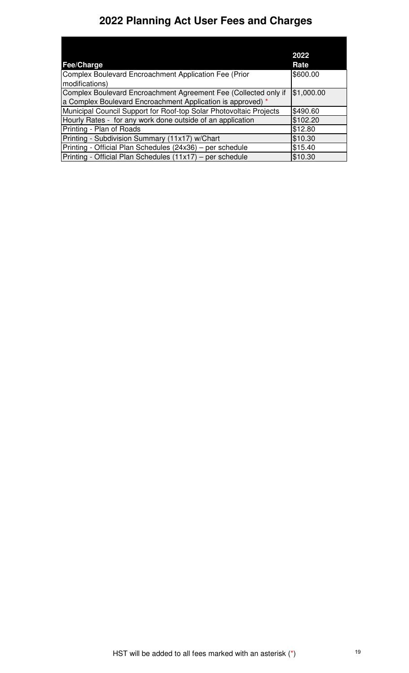|                                                                    | 2022       |
|--------------------------------------------------------------------|------------|
| <b>Fee/Charge</b>                                                  | Rate       |
| Complex Boulevard Encroachment Application Fee (Prior              | \$600.00   |
| modifications)                                                     |            |
| Complex Boulevard Encroachment Agreement Fee (Collected only if    | \$1,000.00 |
| a Complex Boulevard Encroachment Application is approved) *        |            |
| Municipal Council Support for Roof-top Solar Photovoltaic Projects | \$490.60   |
| Hourly Rates - for any work done outside of an application         | \$102.20   |
| Printing - Plan of Roads                                           | \$12.80    |
| Printing - Subdivision Summary (11x17) w/Chart                     | \$10.30    |
| Printing - Official Plan Schedules (24x36) – per schedule          | \$15.40    |
| Printing - Official Plan Schedules (11x17) – per schedule          | \$10.30    |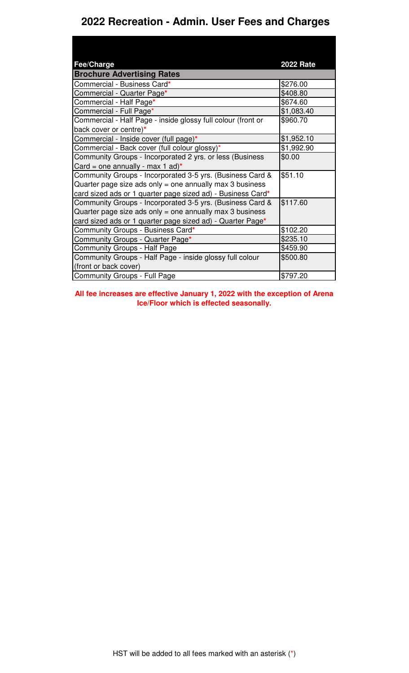#### **2022 Recreation - Admin. User Fees and Charges**

| <b>Fee/Charge</b>                                            | <b>2022 Rate</b> |
|--------------------------------------------------------------|------------------|
| <b>Brochure Advertising Rates</b>                            |                  |
| Commercial - Business Card*                                  | \$276.00         |
| Commercial - Quarter Page*                                   | \$408.80         |
| Commercial - Half Page*                                      | \$674.60         |
| Commercial - Full Page*                                      | \$1,083.40       |
| Commercial - Half Page - inside glossy full colour (front or | \$960.70         |
| back cover or centre)*                                       |                  |
| Commercial - Inside cover (full page)*                       | \$1,952.10       |
| Commercial - Back cover (full colour glossy)*                | \$1,992.90       |
| Community Groups - Incorporated 2 yrs. or less (Business     | \$0.00           |
| Card = one annually - max 1 ad)*                             |                  |
| Community Groups - Incorporated 3-5 yrs. (Business Card &    | \$51.10          |
| Quarter page size ads only = one annually max 3 business     |                  |
| card sized ads or 1 quarter page sized ad) - Business Card*  |                  |
| Community Groups - Incorporated 3-5 yrs. (Business Card &    | \$117.60         |
| Quarter page size ads only = one annually max 3 business     |                  |
| card sized ads or 1 quarter page sized ad) - Quarter Page*   |                  |
| Community Groups - Business Card*                            | \$102.20         |
| Community Groups - Quarter Page*                             | \$235.10         |
| <b>Community Groups - Half Page</b>                          | \$459.90         |
| Community Groups - Half Page - inside glossy full colour     | \$500.80         |
| (front or back cover)                                        |                  |
| <b>Community Groups - Full Page</b>                          | \$797.20         |

**All fee increases are effective January 1, 2022 with the exception of Arena Ice/Floor which is effected seasonally.**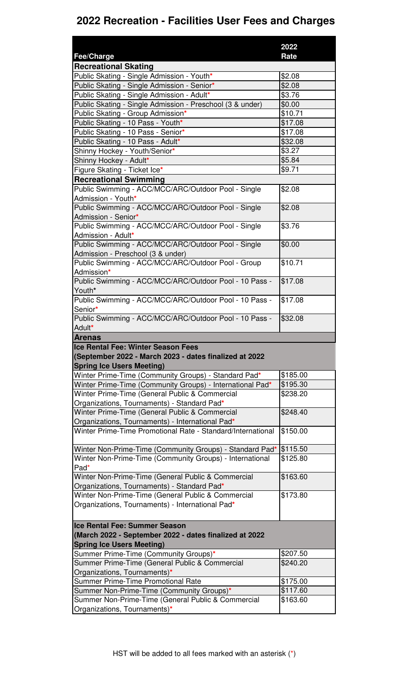|                                                                                                   | 2022                 |
|---------------------------------------------------------------------------------------------------|----------------------|
| <b>Fee/Charge</b>                                                                                 | Rate                 |
| <b>Recreational Skating</b>                                                                       |                      |
| Public Skating - Single Admission - Youth*                                                        | \$2.08               |
| Public Skating - Single Admission - Senior*                                                       | \$2.08               |
| Public Skating - Single Admission - Adult*                                                        | \$3.76               |
| Public Skating - Single Admission - Preschool (3 & under)                                         | \$0.00               |
| Public Skating - Group Admission*                                                                 | \$10.71              |
| Public Skating - 10 Pass - Youth*                                                                 | \$17.08              |
| Public Skating - 10 Pass - Senior*                                                                | \$17.08              |
| Public Skating - 10 Pass - Adult*                                                                 | \$32.08              |
| Shinny Hockey - Youth/Senior*                                                                     | \$3.27               |
| Shinny Hockey - Adult*                                                                            | \$5.84               |
| Figure Skating - Ticket Ice*                                                                      | \$9.71               |
| <b>Recreational Swimming</b>                                                                      |                      |
| Public Swimming - ACC/MCC/ARC/Outdoor Pool - Single                                               | \$2.08               |
| Admission - Youth*                                                                                |                      |
| Public Swimming - ACC/MCC/ARC/Outdoor Pool - Single                                               | \$2.08               |
| Admission - Senior*                                                                               |                      |
| Public Swimming - ACC/MCC/ARC/Outdoor Pool - Single                                               | \$3.76               |
| Admission - Adult*                                                                                |                      |
| Public Swimming - ACC/MCC/ARC/Outdoor Pool - Single                                               | \$0.00               |
| Admission - Preschool (3 & under)                                                                 |                      |
| Public Swimming - ACC/MCC/ARC/Outdoor Pool - Group                                                | \$10.71              |
| Admission*                                                                                        |                      |
| Public Swimming - ACC/MCC/ARC/Outdoor Pool - 10 Pass -                                            | \$17.08              |
| Youth*                                                                                            |                      |
| Public Swimming - ACC/MCC/ARC/Outdoor Pool - 10 Pass -                                            | \$17.08              |
| Senior*                                                                                           |                      |
| Public Swimming - ACC/MCC/ARC/Outdoor Pool - 10 Pass -                                            | \$32.08              |
| Adult*                                                                                            |                      |
|                                                                                                   |                      |
| <b>Arenas</b>                                                                                     |                      |
| <b>Ice Rental Fee: Winter Season Fees</b>                                                         |                      |
| (September 2022 - March 2023 - dates finalized at 2022                                            |                      |
| <b>Spring Ice Users Meeting)</b>                                                                  |                      |
| Winter Prime-Time (Community Groups) - Standard Pad*                                              | \$185.00             |
| Winter Prime-Time (Community Groups) - International Pad*                                         | \$195.30             |
| Winter Prime-Time (General Public & Commercial                                                    | \$238.20             |
| Organizations, Tournaments) - Standard Pad*                                                       |                      |
| Winter Prime-Time (General Public & Commercial                                                    | \$248.40             |
| Organizations, Tournaments) - International Pad*                                                  |                      |
| Winter Prime-Time Promotional Rate - Standard/International                                       | \$150.00             |
|                                                                                                   |                      |
| Winter Non-Prime-Time (Community Groups) - Standard Pad*                                          | \$115.50<br>\$125.80 |
| Winter Non-Prime-Time (Community Groups) - International<br>Pad*                                  |                      |
| Winter Non-Prime-Time (General Public & Commercial                                                | \$163.60             |
|                                                                                                   |                      |
| Organizations, Tournaments) - Standard Pad*<br>Winter Non-Prime-Time (General Public & Commercial | \$173.80             |
| Organizations, Tournaments) - International Pad*                                                  |                      |
|                                                                                                   |                      |
| Ice Rental Fee: Summer Season                                                                     |                      |
|                                                                                                   |                      |
| (March 2022 - September 2022 - dates finalized at 2022                                            |                      |
| <b>Spring Ice Users Meeting)</b>                                                                  | \$207.50             |
| Summer Prime-Time (Community Groups)*                                                             | \$240.20             |
| Summer Prime-Time (General Public & Commercial                                                    |                      |
| Organizations, Tournaments)*<br><b>Summer Prime-Time Promotional Rate</b>                         | \$175.00             |
|                                                                                                   | \$117.60             |
| Summer Non-Prime-Time (Community Groups)*<br>Summer Non-Prime-Time (General Public & Commercial   | \$163.60             |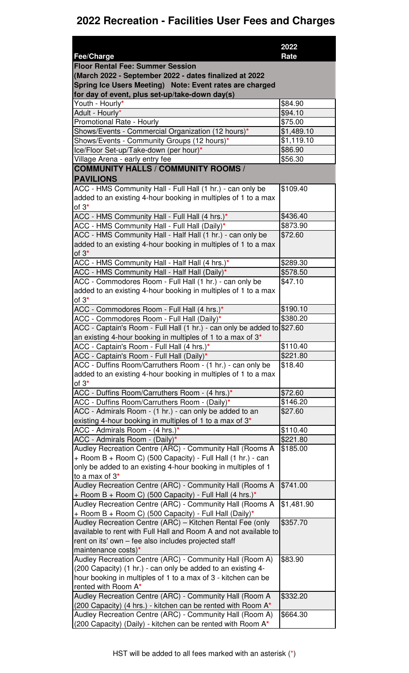|                                                                                                                     | 2022                         |
|---------------------------------------------------------------------------------------------------------------------|------------------------------|
| <b>Fee/Charge</b>                                                                                                   | Rate                         |
| <b>Floor Rental Fee: Summer Session</b>                                                                             |                              |
| (March 2022 - September 2022 - dates finalized at 2022                                                              |                              |
| Spring Ice Users Meeting) Note: Event rates are charged                                                             |                              |
| for day of event, plus set-up/take-down day(s)                                                                      |                              |
| Youth - Hourly*                                                                                                     | \$84.90                      |
| Adult - Hourly*                                                                                                     | \$94.10                      |
| Promotional Rate - Hourly                                                                                           | \$75.00                      |
| Shows/Events - Commercial Organization (12 hours)*<br>Shows/Events - Community Groups (12 hours)*                   | \$1,489.10<br>\$1,119.10     |
| Ice/Floor Set-up/Take-down (per hour)*                                                                              | \$86.90                      |
| Village Arena - early entry fee                                                                                     | \$56.30                      |
| <b>COMMUNITY HALLS / COMMUNITY ROOMS /</b>                                                                          |                              |
| <b>PAVILIONS</b>                                                                                                    |                              |
| ACC - HMS Community Hall - Full Hall (1 hr.) - can only be                                                          | \$109.40                     |
| added to an existing 4-hour booking in multiples of 1 to a max                                                      |                              |
| of $3^*$                                                                                                            |                              |
| ACC - HMS Community Hall - Full Hall (4 hrs.)*                                                                      | \$436.40                     |
| ACC - HMS Community Hall - Full Hall (Daily)*                                                                       | \$873.90                     |
| ACC - HMS Community Hall - Half Hall (1 hr.) - can only be                                                          | \$72.60                      |
| added to an existing 4-hour booking in multiples of 1 to a max                                                      |                              |
| of $3^*$                                                                                                            |                              |
| ACC - HMS Community Hall - Half Hall (4 hrs.)*                                                                      | \$289.30                     |
| ACC - HMS Community Hall - Half Hall (Daily)*                                                                       | \$578.50                     |
| ACC - Commodores Room - Full Hall (1 hr.) - can only be                                                             | \$47.10                      |
| added to an existing 4-hour booking in multiples of 1 to a max                                                      |                              |
| of $3^*$                                                                                                            |                              |
| ACC - Commodores Room - Full Hall (4 hrs.)*                                                                         | \$190.10                     |
| ACC - Commodores Room - Full Hall (Daily)*                                                                          | \$380.20                     |
| ACC - Captain's Room - Full Hall (1 hr.) - can only be added to \$27.60                                             |                              |
| an existing 4-hour booking in multiples of 1 to a max of $3*$                                                       |                              |
| ACC - Captain's Room - Full Hall (4 hrs.)*                                                                          | \$110.40<br>$\sqrt{$221.80}$ |
| ACC - Captain's Room - Full Hall (Daily)*<br>ACC - Duffins Room/Carruthers Room - (1 hr.) - can only be             | \$18.40                      |
| added to an existing 4-hour booking in multiples of 1 to a max                                                      |                              |
| of $3^*$                                                                                                            |                              |
| ACC - Duffins Room/Carruthers Room - (4 hrs.)*                                                                      | \$72.60                      |
| ACC - Duffins Room/Carruthers Room - (Daily)*                                                                       | \$146.20                     |
| ACC - Admirals Room - (1 hr.) - can only be added to an                                                             | \$27.60                      |
| existing 4-hour booking in multiples of 1 to a max of 3*                                                            |                              |
| ACC - Admirals Room - (4 hrs.)*                                                                                     | \$110.40                     |
| ACC - Admirals Room - (Daily)*                                                                                      | \$221.80                     |
| Audley Recreation Centre (ARC) - Community Hall (Rooms A                                                            | \$185.00                     |
| + Room B + Room C) (500 Capacity) - Full Hall (1 hr.) - can                                                         |                              |
| only be added to an existing 4-hour booking in multiples of 1                                                       |                              |
| to a max of 3*                                                                                                      |                              |
| Audley Recreation Centre (ARC) - Community Hall (Rooms A                                                            | \$741.00                     |
| + Room B + Room C) (500 Capacity) - Full Hall (4 hrs.)*                                                             |                              |
| Audley Recreation Centre (ARC) - Community Hall (Rooms A                                                            | \$1,481.90                   |
| + Room B + Room C) (500 Capacity) - Full Hall (Daily)*<br>Audley Recreation Centre (ARC) - Kitchen Rental Fee (only | \$357.70                     |
| available to rent with Full Hall and Room A and not available to                                                    |                              |
| rent on its' own - fee also includes projected staff                                                                |                              |
| maintenance costs)*                                                                                                 |                              |
| Audley Recreation Centre (ARC) - Community Hall (Room A)                                                            | \$83.90                      |
| (200 Capacity) (1 hr.) - can only be added to an existing 4-                                                        |                              |
| hour booking in multiples of 1 to a max of 3 - kitchen can be                                                       |                              |
| rented with Room A*                                                                                                 |                              |
| Audley Recreation Centre (ARC) - Community Hall (Room A                                                             | \$332.20                     |
| (200 Capacity) (4 hrs.) - kitchen can be rented with Room A*                                                        |                              |
| Audley Recreation Centre (ARC) - Community Hall (Room A)                                                            | \$664.30                     |
| (200 Capacity) (Daily) - kitchen can be rented with Room A*                                                         |                              |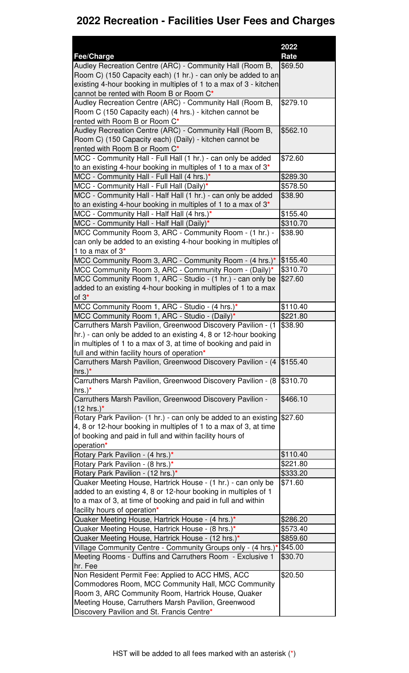|                                                                                                              | 2022                 |
|--------------------------------------------------------------------------------------------------------------|----------------------|
| Fee/Charge                                                                                                   | Rate                 |
| Audley Recreation Centre (ARC) - Community Hall (Room B,                                                     | \$69.50              |
| Room C) (150 Capacity each) (1 hr.) - can only be added to an                                                |                      |
| existing 4-hour booking in multiples of 1 to a max of 3 - kitchen<br>cannot be rented with Room B or Room C* |                      |
| Audley Recreation Centre (ARC) - Community Hall (Room B,                                                     | \$279.10             |
| Room C (150 Capacity each) (4 hrs.) - kitchen cannot be                                                      |                      |
| rented with Room B or Room C*                                                                                |                      |
| Audley Recreation Centre (ARC) - Community Hall (Room B,                                                     | \$562.10             |
| Room C) (150 Capacity each) (Daily) - kitchen cannot be                                                      |                      |
| rented with Room B or Room C*                                                                                |                      |
| MCC - Community Hall - Full Hall (1 hr.) - can only be added                                                 | \$72.60              |
| to an existing 4-hour booking in multiples of 1 to a max of $3^*$                                            |                      |
| MCC - Community Hall - Full Hall (4 hrs.)*                                                                   | \$289.30             |
| MCC - Community Hall - Full Hall (Daily)*                                                                    | \$578.50             |
| MCC - Community Hall - Half Hall (1 hr.) - can only be added                                                 | \$38.90              |
| to an existing 4-hour booking in multiples of 1 to a max of $3*$                                             |                      |
| MCC - Community Hall - Half Hall (4 hrs.)*                                                                   | \$155.40             |
| MCC - Community Hall - Half Hall (Daily)*                                                                    | \$310.70             |
| MCC Community Room 3, ARC - Community Room - (1 hr.) -                                                       | \$38.90              |
| can only be added to an existing 4-hour booking in multiples of<br>1 to a max of $3*$                        |                      |
| MCC Community Room 3, ARC - Community Room - (4 hrs.)*                                                       | \$155.40             |
| MCC Community Room 3, ARC - Community Room - (Daily)*                                                        | \$310.70             |
| MCC Community Room 1, ARC - Studio - (1 hr.) - can only be                                                   | \$27.60              |
| added to an existing 4-hour booking in multiples of 1 to a max                                               |                      |
| of $3^*$                                                                                                     |                      |
| MCC Community Room 1, ARC - Studio - (4 hrs.)*                                                               | \$110.40             |
| MCC Community Room 1, ARC - Studio - (Daily)*                                                                | \$221.80             |
| Carruthers Marsh Pavilion, Greenwood Discovery Pavilion - (1                                                 | \$38.90              |
| hr.) - can only be added to an existing 4, 8 or 12-hour booking                                              |                      |
| in multiples of 1 to a max of 3, at time of booking and paid in                                              |                      |
| full and within facility hours of operation*                                                                 |                      |
| Carruthers Marsh Pavilion, Greenwood Discovery Pavilion - (4                                                 | \$155.40             |
| hrs. $)^*$<br>Carruthers Marsh Pavilion, Greenwood Discovery Pavilion - (8                                   | \$310.70             |
| hrs. $)^*$                                                                                                   |                      |
| Carruthers Marsh Pavilion, Greenwood Discovery Pavilion -                                                    | \$466.10             |
| $(12 \text{ hrs.})^*$                                                                                        |                      |
| Rotary Park Pavilion- (1 hr.) - can only be added to an existing                                             | \$27.60              |
| 4, 8 or 12-hour booking in multiples of 1 to a max of 3, at time                                             |                      |
| of booking and paid in full and within facility hours of                                                     |                      |
| operation*                                                                                                   |                      |
| Rotary Park Pavilion - (4 hrs.)*                                                                             | \$110.40             |
| Rotary Park Pavilion - (8 hrs.)*                                                                             | \$221.80             |
| Rotary Park Pavilion - (12 hrs.)*                                                                            | \$333.20             |
| Quaker Meeting House, Hartrick House - (1 hr.) - can only be                                                 | \$71.60              |
| added to an existing 4, 8 or 12-hour booking in multiples of 1                                               |                      |
| to a max of 3, at time of booking and paid in full and within                                                |                      |
| facility hours of operation*                                                                                 |                      |
| Quaker Meeting House, Hartrick House - (4 hrs.)*                                                             | \$286.20             |
| Quaker Meeting House, Hartrick House - (8 hrs.)*<br>Quaker Meeting House, Hartrick House - (12 hrs.)*        | \$573.40<br>\$859.60 |
| Village Community Centre - Community Groups only - (4 hrs.)*                                                 | \$45.00              |
| Meeting Rooms - Duffins and Carruthers Room - Exclusive 1                                                    | \$30.70              |
| hr. Fee                                                                                                      |                      |
| Non Resident Permit Fee: Applied to ACC HMS, ACC                                                             | \$20.50              |
| Commodores Room, MCC Community Hall, MCC Community                                                           |                      |
| Room 3, ARC Community Room, Hartrick House, Quaker                                                           |                      |
| Meeting House, Carruthers Marsh Pavilion, Greenwood                                                          |                      |
| Discovery Pavilion and St. Francis Centre*                                                                   |                      |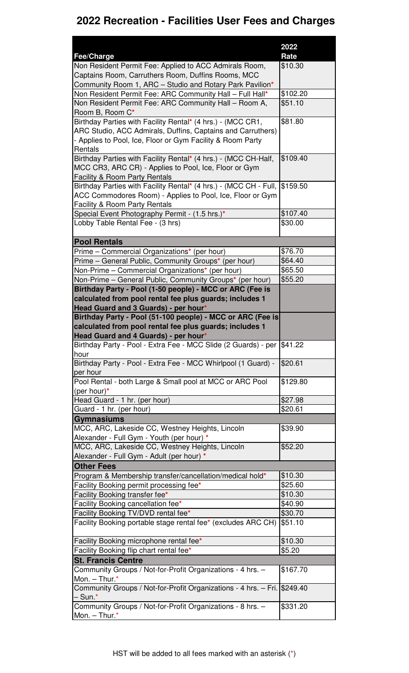|                                                                                                                     | 2022               |
|---------------------------------------------------------------------------------------------------------------------|--------------------|
| Fee/Charge                                                                                                          | Rate               |
| Non Resident Permit Fee: Applied to ACC Admirals Room,                                                              | \$10.30            |
| Captains Room, Carruthers Room, Duffins Rooms, MCC                                                                  |                    |
| Community Room 1, ARC - Studio and Rotary Park Pavilion*                                                            |                    |
| Non Resident Permit Fee: ARC Community Hall - Full Hall*                                                            | \$102.20           |
| Non Resident Permit Fee: ARC Community Hall - Room A,                                                               | \$51.10            |
| Room B, Room C*                                                                                                     |                    |
| Birthday Parties with Facility Rental* (4 hrs.) - (MCC CR1,                                                         | \$81.80            |
| ARC Studio, ACC Admirals, Duffins, Captains and Carruthers)                                                         |                    |
| - Applies to Pool, Ice, Floor or Gym Facility & Room Party<br>Rentals                                               |                    |
| Birthday Parties with Facility Rental* (4 hrs.) - (MCC CH-Half,                                                     | \$109.40           |
| MCC CR3, ARC CR) - Applies to Pool, Ice, Floor or Gym                                                               |                    |
| <b>Facility &amp; Room Party Rentals</b>                                                                            |                    |
| Birthday Parties with Facility Rental* (4 hrs.) - (MCC CH - Full,                                                   | \$159.50           |
| ACC Commodores Room) - Applies to Pool, Ice, Floor or Gym                                                           |                    |
| <b>Facility &amp; Room Party Rentals</b>                                                                            |                    |
| Special Event Photography Permit - (1.5 hrs.)*                                                                      | \$107.40           |
| Lobby Table Rental Fee - (3 hrs)                                                                                    | \$30.00            |
|                                                                                                                     |                    |
| <b>Pool Rentals</b>                                                                                                 |                    |
| Prime - Commercial Organizations* (per hour)                                                                        | \$76.70            |
| Prime - General Public, Community Groups* (per hour)                                                                | \$64.40            |
| Non-Prime – Commercial Organizations* (per hour)                                                                    | \$65.50            |
| Non-Prime - General Public, Community Groups* (per hour)                                                            | \$55.20            |
| Birthday Party - Pool (1-50 people) - MCC or ARC (Fee is<br>calculated from pool rental fee plus guards; includes 1 |                    |
| Head Guard and 3 Guards) - per hour*                                                                                |                    |
| Birthday Party - Pool (51-100 people) - MCC or ARC (Fee is                                                          |                    |
| calculated from pool rental fee plus guards; includes 1                                                             |                    |
| Head Guard and 4 Guards) - per hour*                                                                                |                    |
| Birthday Party - Pool - Extra Fee - MCC Slide (2 Guards) - per                                                      | \$41.22            |
| hour                                                                                                                |                    |
| Birthday Party - Pool - Extra Fee - MCC Whirlpool (1 Guard) -                                                       | \$20.61            |
| per hour                                                                                                            |                    |
| Pool Rental - both Large & Small pool at MCC or ARC Pool                                                            | \$129.80           |
| (per hour) $*$                                                                                                      |                    |
| Head Guard - 1 hr. (per hour)                                                                                       | \$27.98            |
| Guard - 1 hr. (per hour)                                                                                            | \$20.61            |
| <b>Gymnasiums</b>                                                                                                   |                    |
| MCC, ARC, Lakeside CC, Westney Heights, Lincoln                                                                     | \$39.90            |
| Alexander - Full Gym - Youth (per hour) *<br>MCC, ARC, Lakeside CC, Westney Heights, Lincoln                        | \$52.20            |
| Alexander - Full Gym - Adult (per hour) *                                                                           |                    |
| <b>Other Fees</b>                                                                                                   |                    |
|                                                                                                                     |                    |
|                                                                                                                     |                    |
| Program & Membership transfer/cancellation/medical hold*                                                            | \$10.30            |
| Facility Booking permit processing fee*                                                                             | \$25.60            |
| Facility Booking transfer fee*                                                                                      | \$10.30            |
| Facility Booking cancellation fee*                                                                                  | \$40.90<br>\$30.70 |
| Facility Booking TV/DVD rental fee*<br>Facility Booking portable stage rental fee* (excludes ARC CH)                | \$51.10            |
|                                                                                                                     |                    |
| Facility Booking microphone rental fee*                                                                             | \$10.30            |
| Facility Booking flip chart rental fee*                                                                             | \$5.20             |
| <b>St. Francis Centre</b>                                                                                           |                    |
| Community Groups / Not-for-Profit Organizations - 4 hrs. -                                                          | \$167.70           |
| Mon. - Thur.*                                                                                                       |                    |
| Community Groups / Not-for-Profit Organizations - 4 hrs. - Fri. \$249.40                                            |                    |
| $-$ Sun. $*$<br>Community Groups / Not-for-Profit Organizations - 8 hrs. -                                          | \$331.20           |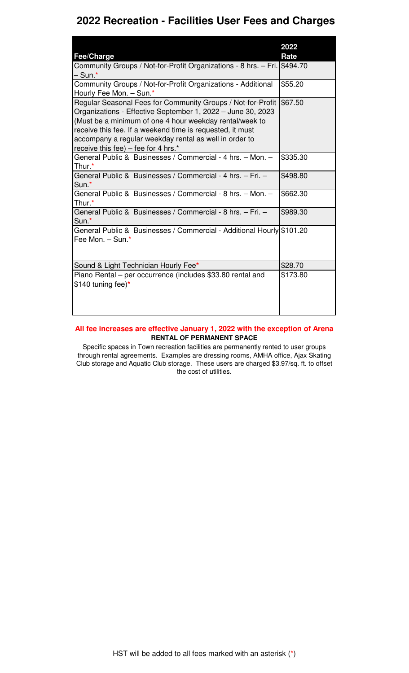|                                                                                                                                                                                                                                                                                                                                                     | 2022     |
|-----------------------------------------------------------------------------------------------------------------------------------------------------------------------------------------------------------------------------------------------------------------------------------------------------------------------------------------------------|----------|
| Fee/Charge                                                                                                                                                                                                                                                                                                                                          | Rate     |
| Community Groups / Not-for-Profit Organizations - 8 hrs. - Fri. \$494.70                                                                                                                                                                                                                                                                            |          |
| – Sun.*                                                                                                                                                                                                                                                                                                                                             |          |
| Community Groups / Not-for-Profit Organizations - Additional<br>Hourly Fee Mon. - Sun.*                                                                                                                                                                                                                                                             | \$55.20  |
| Regular Seasonal Fees for Community Groups / Not-for-Profit<br>Organizations - Effective September 1, 2022 - June 30, 2023<br>(Must be a minimum of one 4 hour weekday rental/week to<br>receive this fee. If a weekend time is requested, it must<br>accompany a regular weekday rental as well in order to<br>receive this fee) - fee for 4 hrs.* | \$67.50  |
| General Public & Businesses / Commercial - 4 hrs. - Mon. -<br>Thur <sup>*</sup>                                                                                                                                                                                                                                                                     | \$335.30 |
| General Public & Businesses / Commercial - 4 hrs. - Fri. -<br>Sun <sup>*</sup>                                                                                                                                                                                                                                                                      | \$498.80 |
| General Public & Businesses / Commercial - 8 hrs. - Mon. -<br>Thur <sup>*</sup>                                                                                                                                                                                                                                                                     | \$662.30 |
| General Public & Businesses / Commercial - 8 hrs. - Fri. -<br>Sun <sup>*</sup>                                                                                                                                                                                                                                                                      | \$989.30 |
| General Public & Businesses / Commercial - Additional Hourly \$101.20<br>Fee Mon. - Sun.*                                                                                                                                                                                                                                                           |          |
| Sound & Light Technician Hourly Fee*                                                                                                                                                                                                                                                                                                                | \$28.70  |
| Piano Rental – per occurrence (includes \$33.80 rental and<br>$$140$ tuning fee)*                                                                                                                                                                                                                                                                   | \$173.80 |

#### **All fee increases are effective January 1, 2022 with the exception of Arena RENTAL OF PERMANENT SPACE**

Specific spaces in Town recreation facilities are permanently rented to user groups through rental agreements. Examples are dressing rooms, AMHA office, Ajax Skating Club storage and Aquatic Club storage. These users are charged \$3.97/sq. ft. to offset the cost of utilities.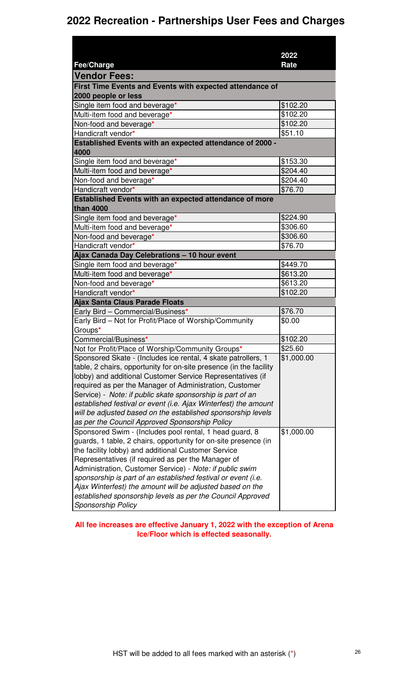#### **2022 Recreation - Partnerships User Fees and Charges**

|                                                                                 | 2022       |
|---------------------------------------------------------------------------------|------------|
| Fee/Charge                                                                      | Rate       |
| <b>Vendor Fees:</b>                                                             |            |
| First Time Events and Events with expected attendance of<br>2000 people or less |            |
| Single item food and beverage*                                                  | \$102.20   |
| Multi-item food and beverage*                                                   | \$102.20   |
| Non-food and beverage*                                                          | \$102.20   |
| Handicraft vendor*                                                              | \$51.10    |
| Established Events with an expected attendance of 2000 -<br>4000                |            |
| Single item food and beverage*                                                  | \$153.30   |
| Multi-item food and beverage*                                                   | \$204.40   |
| Non-food and beverage*                                                          | \$204.40   |
| Handicraft vendor*                                                              | \$76.70    |
| Established Events with an expected attendance of more                          |            |
| than 4000                                                                       |            |
| Single item food and beverage*                                                  | \$224.90   |
| Multi-item food and beverage*                                                   | \$306.60   |
| Non-food and beverage*                                                          | \$306.60   |
| Handicraft vendor*                                                              | \$76.70    |
| Ajax Canada Day Celebrations - 10 hour event                                    |            |
| Single item food and beverage*                                                  | \$449.70   |
| Multi-item food and beverage*                                                   | \$613.20   |
| Non-food and beverage*                                                          | \$613.20   |
| Handicraft vendor*                                                              | \$102.20   |
| <b>Ajax Santa Claus Parade Floats</b>                                           |            |
| Early Bird - Commercial/Business*                                               | \$76.70    |
| Early Bird - Not for Profit/Place of Worship/Community                          | \$0.00     |
| Groups*                                                                         |            |
| Commercial/Business*                                                            | \$102.20   |
| Not for Profit/Place of Worship/Community Groups*                               | \$25.60    |
| Sponsored Skate - (Includes ice rental, 4 skate patrollers, 1                   | \$1,000.00 |
| table, 2 chairs, opportunity for on-site presence (in the facility              |            |
| lobby) and additional Customer Service Representatives (if                      |            |
| required as per the Manager of Administration, Customer                         |            |
| Service) - Note: if public skate sponsorship is part of an                      |            |
| established festival or event (i.e. Ajax Winterfest) the amount                 |            |
| will be adjusted based on the established sponsorship levels                    |            |
| as per the Council Approved Sponsorship Policy                                  |            |
| Sponsored Swim - (Includes pool rental, 1 head guard, 8                         | \$1,000.00 |
| guards, 1 table, 2 chairs, opportunity for on-site presence (in                 |            |
| the facility lobby) and additional Customer Service                             |            |
| Representatives (if required as per the Manager of                              |            |
| Administration, Customer Service) - Note: if public swim                        |            |
| sponsorship is part of an established festival or event (i.e.                   |            |
| Ajax Winterfest) the amount will be adjusted based on the                       |            |
| established sponsorship levels as per the Council Approved                      |            |
| <b>Sponsorship Policy</b>                                                       |            |

**All fee increases are effective January 1, 2022 with the exception of Arena Ice/Floor which is effected seasonally.**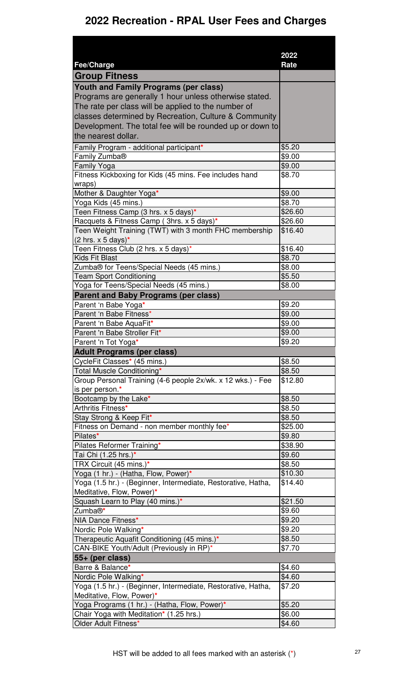|                                                                    | 2022             |
|--------------------------------------------------------------------|------------------|
| <b>Fee/Charge</b>                                                  | Rate             |
| <b>Group Fitness</b>                                               |                  |
| <b>Youth and Family Programs (per class)</b>                       |                  |
| Programs are generally 1 hour unless otherwise stated.             |                  |
| The rate per class will be applied to the number of                |                  |
| classes determined by Recreation, Culture & Community              |                  |
| Development. The total fee will be rounded up or down to           |                  |
| the nearest dollar.                                                |                  |
| Family Program - additional participant*                           | \$5.20           |
| Family Zumba <sup>®</sup><br>Family Yoga                           | \$9.00<br>\$9.00 |
| Fitness Kickboxing for Kids (45 mins. Fee includes hand            | \$8.70           |
| wraps)                                                             |                  |
| Mother & Daughter Yoga*                                            | \$9.00           |
| Yoga Kids (45 mins.)                                               | \$8.70           |
| Teen Fitness Camp (3 hrs. x 5 days)*                               | \$26.60          |
| Racquets & Fitness Camp (3hrs. x 5 days)*                          | \$26.60          |
| Teen Weight Training (TWT) with 3 month FHC membership             | \$16.40          |
| $(2 \text{ hrs. x } 5 \text{ days})^*$                             |                  |
| Teen Fitness Club (2 hrs. x 5 days)*                               | \$16.40          |
| <b>Kids Fit Blast</b><br>Zumba® for Teens/Special Needs (45 mins.) | \$8.70<br>\$8.00 |
| <b>Team Sport Conditioning</b>                                     | \$5.50           |
| Yoga for Teens/Special Needs (45 mins.)                            | \$8.00           |
| <b>Parent and Baby Programs (per class)</b>                        |                  |
| Parent 'n Babe Yoga*                                               | \$9.20           |
| Parent 'n Babe Fitness*                                            | \$9.00           |
| Parent 'n Babe AquaFit*                                            | \$9.00           |
| Parent 'n Babe Stroller Fit*                                       | \$9.00           |
| Parent 'n Tot Yoga*                                                | \$9.20           |
| <b>Adult Programs (per class)</b>                                  |                  |
| CycleFit Classes* (45 mins.)                                       | \$8.50           |
| Total Muscle Conditioning*                                         | \$8.50           |
| Group Personal Training (4-6 people 2x/wk. x 12 wks.) - Fee        | \$12.80          |
| is per person.*<br>Bootcamp by the Lake*                           | \$8.50           |
| Arthritis Fitness*                                                 | \$8.50           |
| Stay Strong & Keep Fit*                                            | \$8.50           |
| Fitness on Demand - non member monthly fee*                        | \$25.00          |
| Pilates*                                                           | \$9.80           |
| Pilates Reformer Training*                                         | \$38.90          |
| Tai Chi (1.25 hrs.)*                                               | \$9.60           |
| TRX Circuit (45 mins.)*                                            | \$8.50           |
| Yoga (1 hr.) - (Hatha, Flow, Power)*                               | \$10.30          |
| Yoga (1.5 hr.) - (Beginner, Intermediate, Restorative, Hatha,      | \$14.40          |
| Meditative, Flow, Power)*                                          |                  |
| Squash Learn to Play (40 mins.)*                                   | \$21.50          |
| Zumba®*<br>NIA Dance Fitness*                                      | \$9.60<br>\$9.20 |
| Nordic Pole Walking*                                               | \$9.20           |
| Therapeutic Aquafit Conditioning (45 mins.)*                       | \$8.50           |
| CAN-BIKE Youth/Adult (Previously in RP)*                           | \$7.70           |
| 55+ (per class)                                                    |                  |
| Barre & Balance*                                                   | \$4.60           |
| Nordic Pole Walking*                                               | \$4.60           |
| Yoga (1.5 hr.) - (Beginner, Intermediate, Restorative, Hatha,      | \$7.20           |
| Meditative, Flow, Power)*                                          |                  |
| Yoga Programs (1 hr.) - (Hatha, Flow, Power)*                      | \$5.20           |
| Chair Yoga with Meditation* (1.25 hrs.)                            | \$6.00           |
| Older Adult Fitness*                                               | \$4.60           |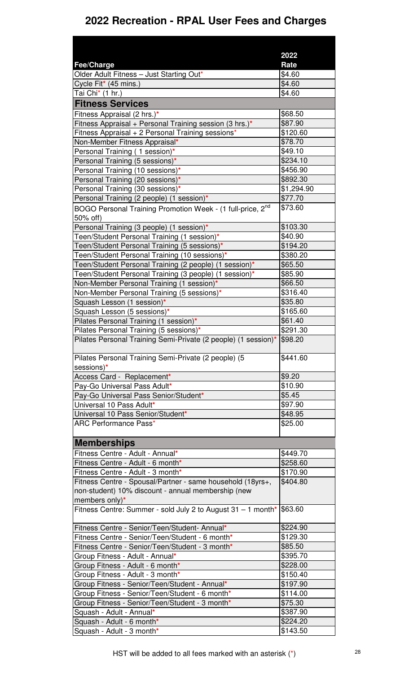|                                                                        | 2022           |
|------------------------------------------------------------------------|----------------|
| Fee/Charge<br>Older Adult Fitness - Just Starting Out*                 | Rate<br>\$4.60 |
| Cycle Fit* (45 mins.)                                                  | \$4.60         |
| Tai Chi* (1 hr.)                                                       | \$4.60         |
| <b>Fitness Services</b>                                                |                |
| Fitness Appraisal (2 hrs.)*                                            | \$68.50        |
| Fitness Appraisal + Personal Training session (3 hrs.)*                | \$87.90        |
| Fitness Appraisal + 2 Personal Training sessions*                      | \$120.60       |
| Non-Member Fitness Appraisal*                                          | \$78.70        |
| Personal Training (1 session)*                                         | \$49.10        |
| Personal Training (5 sessions)*                                        | \$234.10       |
| Personal Training (10 sessions)*                                       | \$456.90       |
| Personal Training (20 sessions)*                                       | \$892.30       |
| Personal Training (30 sessions)*                                       | \$1,294.90     |
| Personal Training (2 people) (1 session)*                              | \$77.70        |
| BOGO Personal Training Promotion Week - (1 full-price, 2 <sup>nd</sup> | \$73.60        |
| 50% off)                                                               |                |
| Personal Training (3 people) (1 session)*                              | \$103.30       |
| Teen/Student Personal Training (1 session)*                            | \$40.90        |
| Teen/Student Personal Training (5 sessions)*                           | \$194.20       |
| Teen/Student Personal Training (10 sessions)*                          | \$380.20       |
| Teen/Student Personal Training (2 people) (1 session)*                 | \$65.50        |
| Teen/Student Personal Training (3 people) (1 session)*                 | \$85.90        |
| Non-Member Personal Training (1 session)*                              | \$66.50        |
| Non-Member Personal Training (5 sessions)*                             | \$316.40       |
| Squash Lesson (1 session)*                                             | \$35.80        |
| Squash Lesson (5 sessions)*                                            | \$165.60       |
| Pilates Personal Training (1 session)*                                 | \$61.40        |
| Pilates Personal Training (5 sessions)*                                | \$291.30       |
| Pilates Personal Training Semi-Private (2 people) (1 session)* \$98.20 |                |
| Pilates Personal Training Semi-Private (2 people) (5                   | \$441.60       |
| sessions)*                                                             |                |
| Access Card - Replacement*                                             | \$9.20         |
| Pay-Go Universal Pass Adult*                                           | \$10.90        |
| Pay-Go Universal Pass Senior/Student*                                  | \$5.45         |
| Universal 10 Pass Adult*                                               | \$97.90        |
| Universal 10 Pass Senior/Student*<br><b>ARC Performance Pass*</b>      | \$48.95        |
|                                                                        | \$25.00        |
| <b>Memberships</b>                                                     |                |
| Fitness Centre - Adult - Annual*                                       | \$449.70       |
| Fitness Centre - Adult - 6 month*                                      | \$258.60       |
| Fitness Centre - Adult - 3 month*                                      | \$170.90       |
| Fitness Centre - Spousal/Partner - same household (18yrs+,             | \$404.80       |
| non-student) 10% discount - annual membership (new                     |                |
| members only)*                                                         |                |
| Fitness Centre: Summer - sold July 2 to August $31 - 1$ month* \$63.60 |                |
| Fitness Centre - Senior/Teen/Student- Annual*                          | \$224.90       |
| Fitness Centre - Senior/Teen/Student - 6 month*                        | \$129.30       |
| Fitness Centre - Senior/Teen/Student - 3 month*                        | \$85.50        |
| Group Fitness - Adult - Annual*                                        | \$395.70       |
| Group Fitness - Adult - 6 month*                                       | \$228.00       |
| Group Fitness - Adult - 3 month*                                       | \$150.40       |
| Group Fitness - Senior/Teen/Student - Annual*                          | \$197.90       |
| Group Fitness - Senior/Teen/Student - 6 month*                         | \$114.00       |
| Group Fitness - Senior/Teen/Student - 3 month*                         | \$75.30        |
| Squash - Adult - Annual*                                               | \$387.90       |
| Squash - Adult - 6 month*                                              | \$224.20       |
| Squash - Adult - 3 month*                                              | \$143.50       |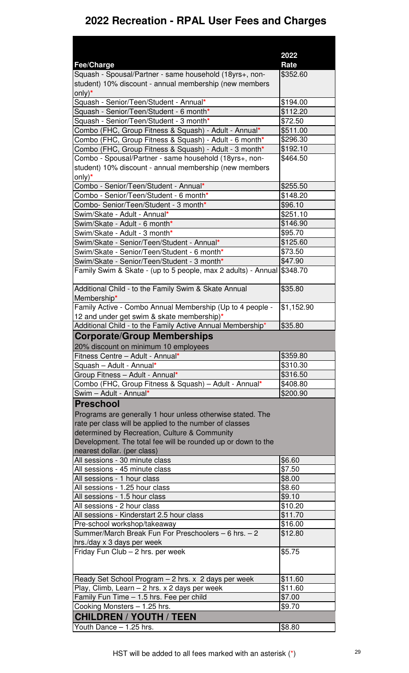|                                                                        | 2022       |
|------------------------------------------------------------------------|------------|
| Fee/Charge                                                             | Rate       |
| Squash - Spousal/Partner - same household (18yrs+, non-                | \$352.60   |
| student) 10% discount - annual membership (new members                 |            |
| $only)*$                                                               |            |
| Squash - Senior/Teen/Student - Annual*                                 | \$194.00   |
| Squash - Senior/Teen/Student - 6 month*                                | \$112.20   |
| Squash - Senior/Teen/Student - 3 month*                                | \$72.50    |
| Combo (FHC, Group Fitness & Squash) - Adult - Annual*                  | \$511.00   |
| Combo (FHC, Group Fitness & Squash) - Adult - 6 month*                 | \$296.30   |
| Combo (FHC, Group Fitness & Squash) - Adult - 3 month*                 | \$192.10   |
| Combo - Spousal/Partner - same household (18yrs+, non-                 | \$464.50   |
| student) 10% discount - annual membership (new members                 |            |
| only) $*$                                                              |            |
| Combo - Senior/Teen/Student - Annual*                                  | \$255.50   |
| Combo - Senior/Teen/Student - 6 month*                                 | \$148.20   |
| Combo- Senior/Teen/Student - 3 month*                                  | \$96.10    |
| Swim/Skate - Adult - Annual*                                           | \$251.10   |
| Swim/Skate - Adult - 6 month*                                          | \$146.90   |
| Swim/Skate - Adult - 3 month*                                          | \$95.70    |
| Swim/Skate - Senior/Teen/Student - Annual*                             | \$125.60   |
| Swim/Skate - Senior/Teen/Student - 6 month*                            | \$73.50    |
| Swim/Skate - Senior/Teen/Student - 3 month*                            | \$47.90    |
| Family Swim & Skate - (up to 5 people, max 2 adults) - Annual \$348.70 |            |
| Additional Child - to the Family Swim & Skate Annual<br>Membership*    | \$35.80    |
| Family Active - Combo Annual Membership (Up to 4 people -              | \$1,152.90 |
| 12 and under get swim & skate membership)*                             |            |
| Additional Child - to the Family Active Annual Membership*             | \$35.80    |
| <b>Corporate/Group Memberships</b>                                     |            |
| 20% discount on minimum 10 employees                                   |            |
| Fitness Centre - Adult - Annual*                                       | \$359.80   |
| Squash - Adult - Annual*                                               | \$310.30   |
| Group Fitness - Adult - Annual*                                        | \$316.50   |
| Combo (FHC, Group Fitness & Squash) - Adult - Annual*                  | \$408.80   |
| Swim - Adult - Annual*                                                 | \$200.90   |
| <b>Preschool</b>                                                       |            |
| Programs are generally 1 hour unless otherwise stated. The             |            |
| rate per class will be applied to the number of classes                |            |
| determined by Recreation, Culture & Community                          |            |
| Development. The total fee will be rounded up or down to the           |            |
| nearest dollar. (per class)                                            |            |
| All sessions - 30 minute class                                         | \$6.60     |
| All sessions - 45 minute class                                         | \$7.50     |
| All sessions - 1 hour class                                            | \$8.00     |
| All sessions - 1.25 hour class                                         | \$8.60     |
| All sessions - 1.5 hour class                                          | \$9.10     |
| All sessions - 2 hour class                                            | \$10.20    |
| All sessions - Kinderstart 2.5 hour class                              | \$11.70    |
| Pre-school workshop/takeaway                                           | \$16.00    |
| Summer/March Break Fun For Preschoolers - 6 hrs. - 2                   | \$12.80    |
| hrs./day x 3 days per week                                             |            |
| Friday Fun Club - 2 hrs. per week                                      | \$5.75     |
|                                                                        |            |
| Ready Set School Program - 2 hrs. x 2 days per week                    | \$11.60    |
| Play, Climb, Learn - 2 hrs. x 2 days per week                          | \$11.60    |
| Family Fun Time - 1.5 hrs. Fee per child                               | \$7.00     |
| Cooking Monsters - 1.25 hrs.                                           | \$9.70     |
| <b>CHILDREN / YOUTH / TEEN</b>                                         |            |
| Youth Dance - 1.25 hrs.                                                | \$8.80     |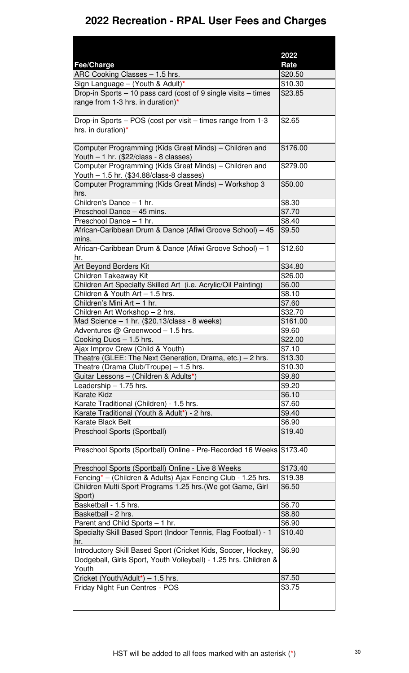|                                                                                                     | 2022     |
|-----------------------------------------------------------------------------------------------------|----------|
| Fee/Charge                                                                                          | Rate     |
| ARC Cooking Classes - 1.5 hrs.                                                                      | \$20.50  |
| Sign Language - (Youth & Adult)*                                                                    | \$10.30  |
| Drop-in Sports – 10 pass card (cost of 9 single visits – times<br>range from 1-3 hrs. in duration)* | \$23.85  |
| Drop-in Sports - POS (cost per visit - times range from 1-3<br>hrs. in duration)*                   | \$2.65   |
| Computer Programming (Kids Great Minds) - Children and<br>Youth - 1 hr. (\$22/class - 8 classes)    | \$176.00 |
| Computer Programming (Kids Great Minds) – Children and<br>Youth - 1.5 hr. (\$34.88/class-8 classes) | \$279.00 |
| Computer Programming (Kids Great Minds) - Workshop 3<br>hrs.                                        | \$50.00  |
| Children's Dance - 1 hr.                                                                            | \$8.30   |
| Preschool Dance - 45 mins.                                                                          | \$7.70   |
| Preschool Dance - 1 hr.                                                                             | \$8.40   |
| African-Caribbean Drum & Dance (Afiwi Groove School) - 45<br>mins.                                  | \$9.50   |
| African-Caribbean Drum & Dance (Afiwi Groove School) - 1<br>hr.                                     | \$12.60  |
| Art Beyond Borders Kit                                                                              | \$34.80  |
| Children Takeaway Kit                                                                               | \$26.00  |
| Children Art Specialty Skilled Art (i.e. Acrylic/Oil Painting)                                      | \$6.00   |
| Children & Youth Art - 1.5 hrs.                                                                     | \$8.10   |
| Children's Mini Art - 1 hr.                                                                         | \$7.60   |
| Children Art Workshop - 2 hrs.                                                                      | \$32.70  |
| Mad Science - 1 hr. (\$20.13/class - 8 weeks)                                                       | \$161.00 |
| Adventures @ Greenwood - 1.5 hrs.                                                                   | \$9.60   |
| Cooking Duos - 1.5 hrs.                                                                             | \$22.00  |
| Ajax Improv Crew (Child & Youth)                                                                    | \$7.10   |
| Theatre (GLEE: The Next Generation, Drama, etc.) - 2 hrs.                                           | \$13.30  |
| Theatre (Drama Club/Troupe) - 1.5 hrs.                                                              | \$10.30  |
| Guitar Lessons - (Children & Adults*)                                                               | \$9.80   |
| Leadership - 1.75 hrs.                                                                              | \$9.20   |
| <b>Karate Kidz</b>                                                                                  | \$6.10   |
| Karate Traditional (Children) - 1.5 hrs.                                                            | \$7.60   |
| Karate Traditional (Youth & Adult*) - 2 hrs.                                                        | \$9.40   |
| Karate Black Belt                                                                                   | \$6.90   |
| Preschool Sports (Sportball)                                                                        | \$19.40  |
| Preschool Sports (Sportball) Online - Pre-Recorded 16 Weeks \$173.40                                |          |
| Preschool Sports (Sportball) Online - Live 8 Weeks                                                  | \$173.40 |
| Fencing* – (Children & Adults) Ajax Fencing Club - 1.25 hrs.                                        | \$19.38  |
| Children Multi Sport Programs 1.25 hrs. (We got Game, Girl<br>Sport)                                | \$6.50   |
| Basketball - 1.5 hrs.                                                                               | \$6.70   |
| Basketball - 2 hrs.                                                                                 | \$8.80   |
| Parent and Child Sports - 1 hr.                                                                     | \$6.90   |
| Specialty Skill Based Sport (Indoor Tennis, Flag Football) - 1<br>hr.                               | \$10.40  |
| Introductory Skill Based Sport (Cricket Kids, Soccer, Hockey,                                       | \$6.90   |
| Dodgeball, Girls Sport, Youth Volleyball) - 1.25 hrs. Children &<br>Youth                           |          |
| Cricket (Youth/Adult*) - 1.5 hrs.                                                                   | \$7.50   |
| Friday Night Fun Centres - POS                                                                      | \$3.75   |
|                                                                                                     |          |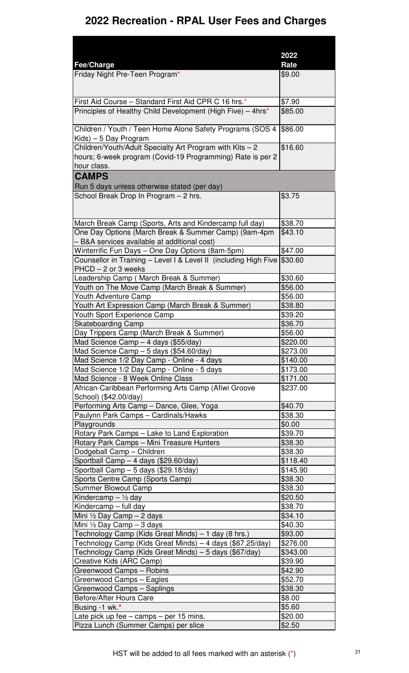|                                                                                                                 | 2022               |
|-----------------------------------------------------------------------------------------------------------------|--------------------|
| Fee/Charge                                                                                                      | Rate               |
| Friday Night Pre-Teen Program*                                                                                  | \$9.00             |
| First Aid Course - Standard First Aid CPR C 16 hrs.*                                                            | \$7.90             |
| Principles of Healthy Child Development (High Five) - 4hrs*                                                     | \$85.00            |
| Children / Youth / Teen Home Alone Safety Programs (SOS 4<br>Kids) - 5 Day Program                              | \$86.00            |
| Children/Youth/Adult Specialty Art Program with Kits - 2                                                        | \$16.60            |
| hours; 6-week program (Covid-19 Programming) Rate is per 2<br>hour class.                                       |                    |
| <b>CAMPS</b>                                                                                                    |                    |
| Run 5 days unless otherwise stated (per day)                                                                    |                    |
| School Break Drop In Program - 2 hrs.                                                                           | \$3.75             |
|                                                                                                                 |                    |
| March Break Camp (Sports, Arts and Kindercamp full day)<br>One Day Options (March Break & Summer Camp) (9am-4pm | \$38.70<br>\$43.10 |
| - B&A services available at additional cost)                                                                    |                    |
| Winterrific Fun Days - One Day Options (8am-5pm)                                                                | \$47.00            |
| Counsellor in Training - Level I & Level II (including High Five \$30.60<br>PHCD - 2 or 3 weeks                 |                    |
| Leadership Camp (March Break & Summer)                                                                          | \$30.60            |
| Youth on The Move Camp (March Break & Summer)                                                                   | \$56.00            |
| Youth Adventure Camp                                                                                            | \$56.00            |
| Youth Art Expression Camp (March Break & Summer)                                                                | \$38.80            |
| Youth Sport Experience Camp                                                                                     | \$39.20            |
| <b>Skateboarding Camp</b><br>Day Trippers Camp (March Break & Summer)                                           | \$36.70<br>\$56.00 |
| Mad Science Camp - 4 days (\$55/day)                                                                            | \$220.00           |
| Mad Science Camp - 5 days (\$54.60/day)                                                                         | \$273.00           |
| Mad Science 1/2 Day Camp - Online - 4 days                                                                      | \$140.00           |
| Mad Science 1/2 Day Camp - Online - 5 days                                                                      | \$173.00           |
| Mad Science - 8 Week Online Class                                                                               | \$171.00           |
| African-Caribbean Performing Arts Camp (Afiwi Groove<br>School) (\$42.00/day)                                   | \$237.00           |
| Performing Arts Camp - Dance, Glee, Yoga                                                                        | \$40.70            |
| Paulynn Park Camps - Cardinals/Hawks                                                                            | \$38.30            |
| Playgrounds                                                                                                     | \$0.00             |
| Rotary Park Camps - Lake to Land Exploration                                                                    | \$39.70            |
| Rotary Park Camps - Mini Treasure Hunters                                                                       | \$38.30            |
| Dodgeball Camp - Children                                                                                       | \$38.30            |
| Sportball Camp - 4 days (\$29.60/day)                                                                           | \$118.40           |
| Sportball Camp - 5 days (\$29.18/day)                                                                           | \$145.90           |
| Sports Centre Camp (Sports Camp)                                                                                | \$38.30            |
| <b>Summer Blowout Camp</b>                                                                                      | \$38.30<br>\$20.50 |
| Kindercamp $-$ 1/2 day<br>$\overline{\text{Kin}}$ dercamp - full day                                            | \$38.70            |
| Mini 1/2 Day Camp - 2 days                                                                                      | \$34.10            |
| Mini $\frac{1}{2}$ Day Camp - 3 days                                                                            | \$40.30            |
| Technology Camp (Kids Great Minds) - 1 day (8 hrs.)                                                             | \$93.00            |
| Technology Camp (Kids Great Minds) - 4 days (\$67.25/day)                                                       | \$276.00           |
| Technology Camp (Kids Great Minds) – 5 days (\$67/day)                                                          | \$343.00           |
| Creative Kids (ARC Camp)                                                                                        | \$39.90            |
| Greenwood Camps - Robins                                                                                        | \$42.90            |
| Greenwood Camps - Eagles                                                                                        | \$52.70            |
| Greenwood Camps - Saplings                                                                                      | \$38.30            |
| Before/After Hours Care                                                                                         | \$8.00             |
| Busing -1 wk.*                                                                                                  | \$5.60             |
| Late pick up fee - camps - per 15 mins.                                                                         | \$20.00            |
| Pizza Lunch (Summer Camps) per slice                                                                            | \$2.50             |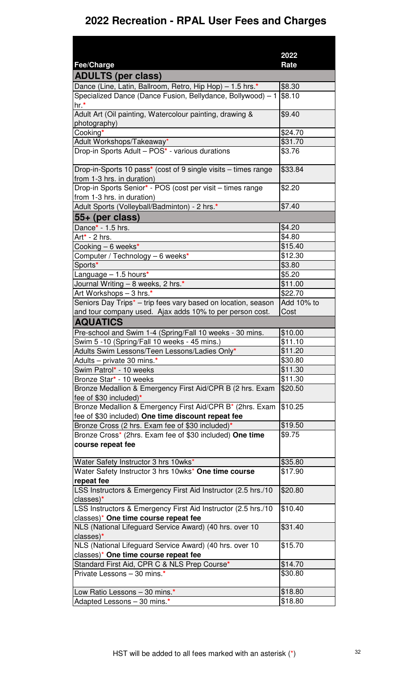|                                                                           | 2022                |
|---------------------------------------------------------------------------|---------------------|
| Fee/Charge                                                                | Rate                |
| <b>ADULTS (per class)</b>                                                 |                     |
| Dance (Line, Latin, Ballroom, Retro, Hip Hop) - 1.5 hrs *                 | \$8.30              |
| Specialized Dance (Dance Fusion, Bellydance, Bollywood) - 1               | \$8.10              |
| hr.*                                                                      |                     |
| Adult Art (Oil painting, Watercolour painting, drawing &                  | \$9.40              |
| photography)                                                              |                     |
| Cooking*                                                                  | \$24.70             |
| Adult Workshops/Takeaway*                                                 | \$31.70             |
| Drop-in Sports Adult - POS* - various durations                           | \$3.76              |
|                                                                           |                     |
| Drop-in-Sports 10 pass* (cost of 9 single visits – times range            | \$33.84             |
| from 1-3 hrs. in duration)                                                |                     |
| Drop-in Sports Senior* - POS (cost per visit - times range                | \$2.20              |
| from 1-3 hrs. in duration)                                                |                     |
| Adult Sports (Volleyball/Badminton) - 2 hrs.*                             | \$7.40              |
| 55+ (per class)                                                           |                     |
| Dance* - 1.5 hrs.                                                         | \$4.20              |
| Art* - 2 hrs.                                                             | \$4.80              |
| Cooking $-6$ weeks*                                                       | \$15.40             |
| Computer / Technology - 6 weeks*                                          | \$12.30             |
| Sports*                                                                   | \$3.80              |
| Language $-1.5$ hours*                                                    | \$5.20              |
| Journal Writing - 8 weeks, 2 hrs.*                                        | \$11.00             |
| Art Workshops - 3 hrs.*                                                   | \$22.70             |
| Seniors Day Trips <sup>*</sup> - trip fees vary based on location, season | Add 10% to          |
| and tour company used. Ajax adds 10% to per person cost.                  | Cost                |
| <b>AQUATICS</b>                                                           |                     |
| Pre-school and Swim 1-4 (Spring/Fall 10 weeks - 30 mins.                  | \$10.00             |
| Swim 5 -10 (Spring/Fall 10 weeks - 45 mins.)                              | $\overline{$11.10}$ |
| Adults Swim Lessons/Teen Lessons/Ladies Only*                             | \$11.20             |
| Adults - private 30 mins.*                                                | \$30.80             |
| Swim Patrol* - 10 weeks                                                   | \$11.30             |
| Bronze Star* - 10 weeks                                                   | \$11.30             |
| Bronze Medallion & Emergency First Aid/CPR B (2 hrs. Exam                 | \$20.50             |
| fee of \$30 included) $*$                                                 |                     |
| Bronze Medallion & Emergency First Aid/CPR B* (2hrs. Exam                 | \$10.25             |
| fee of \$30 included) One time discount repeat fee                        |                     |
| Bronze Cross (2 hrs. Exam fee of \$30 included)*                          | \$19.50             |
| Bronze Cross* (2hrs. Exam fee of \$30 included) One time                  | \$9.75              |
| course repeat fee                                                         |                     |
|                                                                           |                     |
| Water Safety Instructor 3 hrs 10wks*                                      | \$35.80             |
| Water Safety Instructor 3 hrs 10wks* One time course                      | \$17.90             |
| repeat fee                                                                |                     |
| LSS Instructors & Emergency First Aid Instructor (2.5 hrs./10             | \$20.80             |
| classes)*                                                                 |                     |
| LSS Instructors & Emergency First Aid Instructor (2.5 hrs./10             | \$10.40             |
| classes)* One time course repeat fee                                      |                     |
| NLS (National Lifeguard Service Award) (40 hrs. over 10                   | \$31.40             |
| classes)*                                                                 |                     |
| NLS (National Lifeguard Service Award) (40 hrs. over 10                   | \$15.70             |
| classes)* One time course repeat fee                                      |                     |
| Standard First Aid, CPR C & NLS Prep Course*                              | \$14.70             |
| Private Lessons - 30 mins.*                                               | \$30.80             |
|                                                                           |                     |
| Low Ratio Lessons - 30 mins.*                                             | \$18.80<br>\$18.80  |
| Adapted Lessons - 30 mins.*                                               |                     |